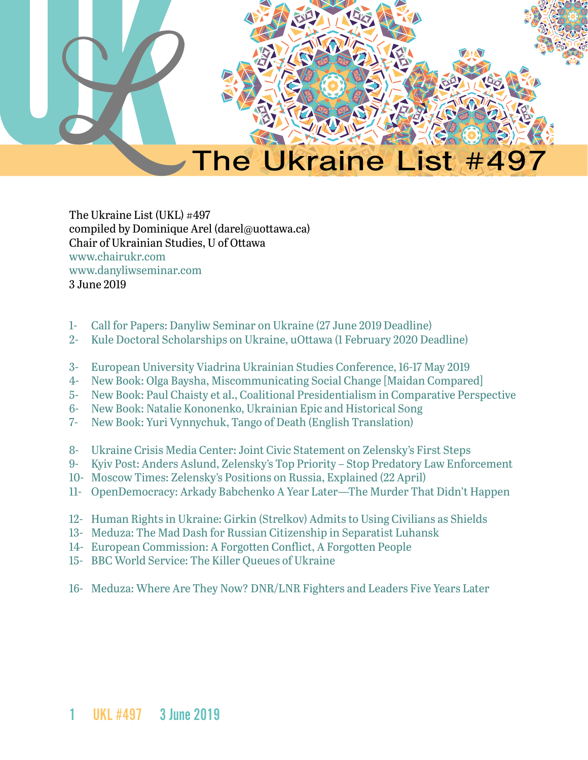

The Ukraine List (UKL) #497 compiled by Dominique Arel (darel@uottawa.ca) Chair of Ukrainian Studies, U of Ottawa [www.chairukr.com](http://www.chairukr.com) [www.danyliwseminar.com](http://www.danyliwseminar.com) 3 June 2019

- <span id="page-0-0"></span>1- [Call for Papers: Danyliw Seminar on Ukraine \(27 June 2019 Deadline\)](#page-1-0)
- 2- [Kule Doctoral Scholarships on Ukraine, uOttawa \(1 February 2020 Deadline\)](#page-3-0)
- 3- [European University Viadrina Ukrainian Studies Conference, 16-17 May 2019](#page-4-0)
- 4- [New Book: Olga Baysha, Miscommunicating Social Change \[Maidan Compared\]](#page-4-1)
- 5- [New Book: Paul Chaisty et al., Coalitional Presidentialism in Comparative Perspective](#page-5-0)
- 6- [New Book: Natalie Kononenko, Ukrainian Epic and Historical Song](#page-6-0)
- 7- [New Book: Yuri Vynnychuk, Tango of Death \(English Translation\)](#page-6-1)
- 8- [Ukraine Crisis Media Center: Joint Civic Statement on Zelensky's First Steps](#page-7-0)
- 9- Kyiv Post: Anders Aslund, Zelensky's Top Priority Stop Predatory Law Enforcement
- 10- Moscow Times: Zelensky's Positions on Russia, Explained (22 April)
- 11- OpenDemocracy: Arkady Babchenko A Year Later—The Murder That Didn't Happen
- 12- [Human Rights in Ukraine: Girkin \(Strelkov\) Admits to Using Civilians as Shields](#page-21-0)
- 13- Meduza: The Mad Dash for Russian Citizenship in Separatist Luhansk
- 14- [European Commission: A Forgotten Conflict, A Forgotten People](#page-30-0)
- 15- [BBC World Service: The Killer Queues of Ukraine](#page-32-0)
- 16- [Meduza: Where Are They Now? DNR/LNR Fighters and Leaders Five Years Later](#page-40-0)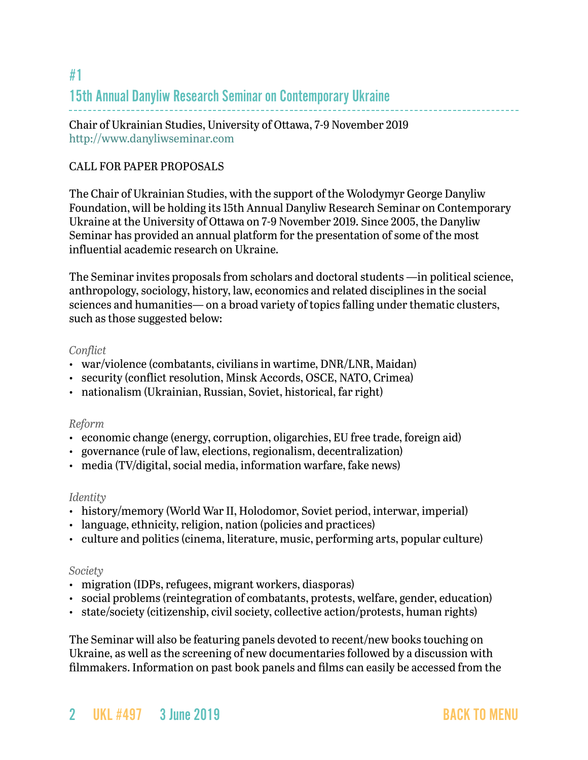# <span id="page-1-0"></span>#1 15th Annual Danyliw Research Seminar on Contemporary Ukraine

Chair of Ukrainian Studies, University of Ottawa, 7-9 November 2019 <http://www.danyliwseminar.com>

#### CALL FOR PAPER PROPOSALS

The Chair of Ukrainian Studies, with the support of the Wolodymyr George Danyliw Foundation, will be holding its 15th Annual Danyliw Research Seminar on Contemporary Ukraine at the University of Ottawa on 7-9 November 2019. Since 2005, the Danyliw Seminar has provided an annual platform for the presentation of some of the most influential academic research on Ukraine.

The Seminar invites proposals from scholars and doctoral students —in political science, anthropology, sociology, history, law, economics and related disciplines in the social sciences and humanities— on a broad variety of topics falling under thematic clusters, such as those suggested below:

#### *Conflict*

- war/violence (combatants, civilians in wartime, DNR/LNR, Maidan)
- security (conflict resolution, Minsk Accords, OSCE, NATO, Crimea)
- nationalism (Ukrainian, Russian, Soviet, historical, far right)

#### *Reform*

- economic change (energy, corruption, oligarchies, EU free trade, foreign aid)
- governance (rule of law, elections, regionalism, decentralization)
- media (TV/digital, social media, information warfare, fake news)

#### *Identity*

- history/memory (World War II, Holodomor, Soviet period, interwar, imperial)
- language, ethnicity, religion, nation (policies and practices)
- culture and politics (cinema, literature, music, performing arts, popular culture)

#### *Society*

- migration (IDPs, refugees, migrant workers, diasporas)
- social problems (reintegration of combatants, protests, welfare, gender, education)
- state/society (citizenship, civil society, collective action/protests, human rights)

The Seminar will also be featuring panels devoted to recent/new books touching on Ukraine, as well as the screening of new documentaries followed by a discussion with filmmakers. Information on past book panels and films can easily be accessed from the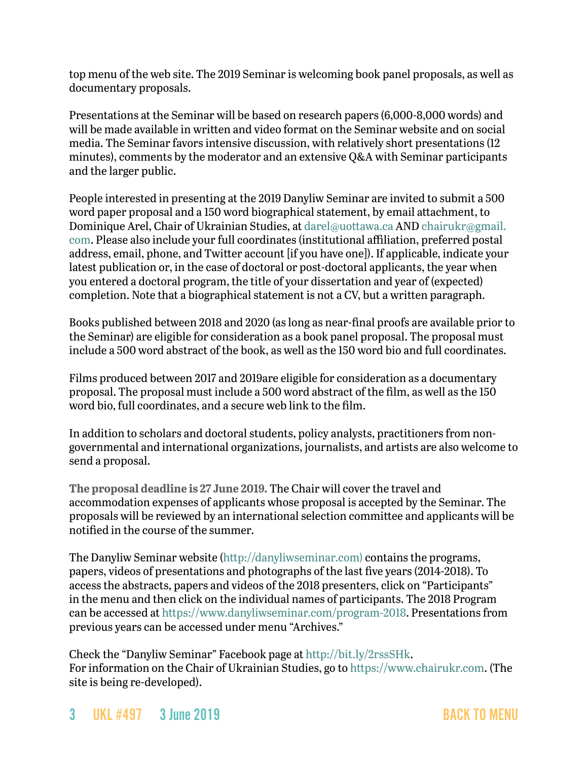top menu of the web site. The 2019 Seminar is welcoming book panel proposals, as well as documentary proposals.

Presentations at the Seminar will be based on research papers (6,000-8,000 words) and will be made available in written and video format on the Seminar website and on social media. The Seminar favors intensive discussion, with relatively short presentations (12 minutes), comments by the moderator and an extensive Q&A with Seminar participants and the larger public.

People interested in presenting at the 2019 Danyliw Seminar are invited to submit a 500 word paper proposal and a 150 word biographical statement, by email attachment, to Dominique Arel, Chair of Ukrainian Studies, at [darel@uottawa.ca](mailto:darel@uottawa.ca) AND [chairukr@gmail.](mailto:chairukr@gmail.com) [com](mailto:chairukr@gmail.com). Please also include your full coordinates (institutional affiliation, preferred postal address, email, phone, and Twitter account [if you have one]). If applicable, indicate your latest publication or, in the case of doctoral or post-doctoral applicants, the year when you entered a doctoral program, the title of your dissertation and year of (expected) completion. Note that a biographical statement is not a CV, but a written paragraph.

Books published between 2018 and 2020 (as long as near-final proofs are available prior to the Seminar) are eligible for consideration as a book panel proposal. The proposal must include a 500 word abstract of the book, as well as the 150 word bio and full coordinates.

Films produced between 2017 and 2019are eligible for consideration as a documentary proposal. The proposal must include a 500 word abstract of the film, as well as the 150 word bio, full coordinates, and a secure web link to the film.

In addition to scholars and doctoral students, policy analysts, practitioners from nongovernmental and international organizations, journalists, and artists are also welcome to send a proposal.

**The proposal deadline is 27 June 2019.** The Chair will cover the travel and accommodation expenses of applicants whose proposal is accepted by the Seminar. The proposals will be reviewed by an international selection committee and applicants will be notified in the course of the summer.

The Danyliw Seminar website [\(http://danyliwseminar.com\)](http://danyliwseminar.com)) contains the programs, papers, videos of presentations and photographs of the last five years (2014-2018). To access the abstracts, papers and videos of the 2018 presenters, click on "Participants" in the menu and then click on the individual names of participants. The 2018 Program can be accessed at [https://www.danyliwseminar.com/program-2018.](https://www.danyliwseminar.com/program-2018) Presentations from previous years can be accessed under menu "Archives."

Check the "Danyliw Seminar" Facebook page at<http://bit.ly/2rssSHk>. For information on the Chair of Ukrainian Studies, go to <https://www.chairukr.com>. (The site is being re-developed).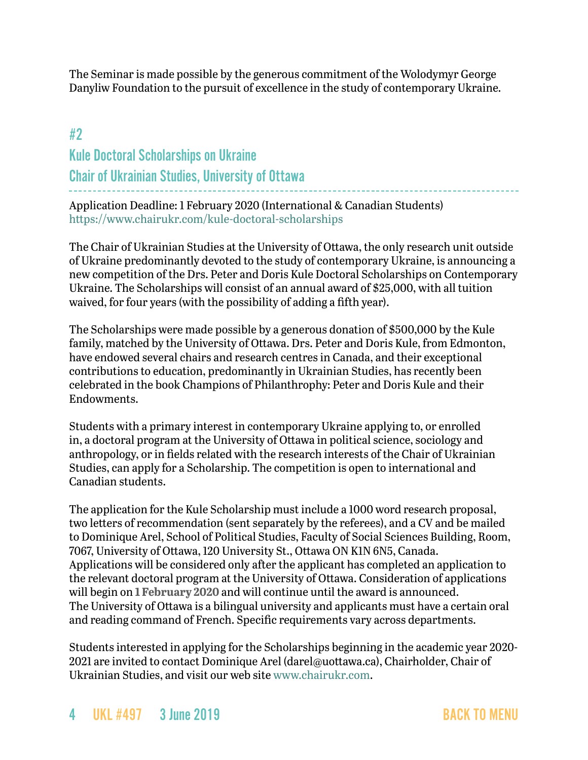The Seminar is made possible by the generous commitment of the Wolodymyr George Danyliw Foundation to the pursuit of excellence in the study of contemporary Ukraine.

### <span id="page-3-0"></span>#2

# Kule Doctoral Scholarships on Ukraine Chair of Ukrainian Studies, University of Ottawa

Application Deadline: 1 February 2020 (International & Canadian Students) <https://www.chairukr.com/kule-doctoral-scholarships>

The Chair of Ukrainian Studies at the University of Ottawa, the only research unit outside of Ukraine predominantly devoted to the study of contemporary Ukraine, is announcing a new competition of the Drs. Peter and Doris Kule Doctoral Scholarships on Contemporary Ukraine. The Scholarships will consist of an annual award of \$25,000, with all tuition waived, for four years (with the possibility of adding a fifth year).

The Scholarships were made possible by a generous donation of \$500,000 by the Kule family, matched by the University of Ottawa. Drs. Peter and Doris Kule, from Edmonton, have endowed several chairs and research centres in Canada, and their exceptional contributions to education, predominantly in Ukrainian Studies, has recently been celebrated in the book Champions of Philanthrophy: Peter and Doris Kule and their Endowments.

Students with a primary interest in contemporary Ukraine applying to, or enrolled in, a doctoral program at the University of Ottawa in political science, sociology and anthropology, or in fields related with the research interests of the Chair of Ukrainian Studies, can apply for a Scholarship. The competition is open to international and Canadian students.

The application for the Kule Scholarship must include a 1000 word research proposal, two letters of recommendation (sent separately by the referees), and a CV and be mailed to Dominique Arel, School of Political Studies, Faculty of Social Sciences Building, Room, 7067, University of Ottawa, 120 University St., Ottawa ON K1N 6N5, Canada. Applications will be considered only after the applicant has completed an application to the relevant doctoral program at the University of Ottawa. Consideration of applications will begin on **1 February 2020** and will continue until the award is announced. The University of Ottawa is a bilingual university and applicants must have a certain oral and reading command of French. Specific requirements vary across departments.

Students interested in applying for the Scholarships beginning in the academic year 2020 2021 are invited to contact Dominique Arel ([darel@uottawa.ca\)](mailto:darel@uottawa.ca), Chairholder, Chair of Ukrainian Studies, and visit our web site [www.chairukr.com](http://www.chairukr.com).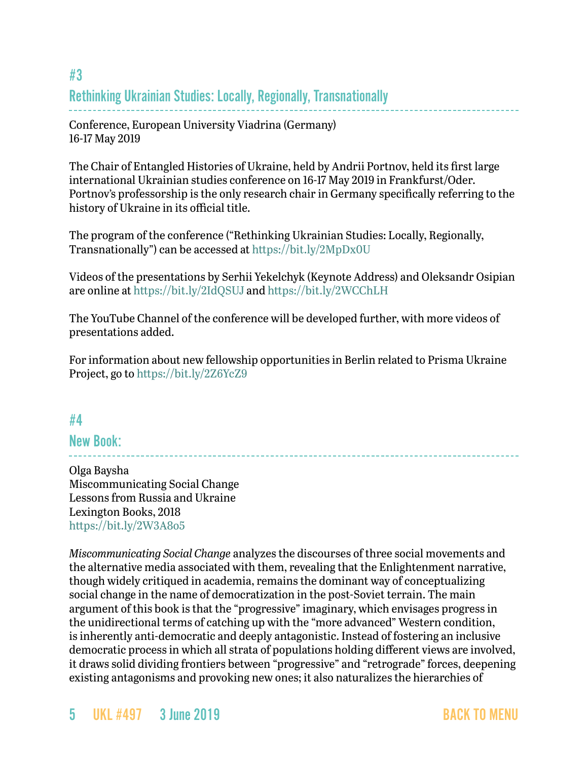## <span id="page-4-0"></span>#3 Rethinking Ukrainian Studies: Locally, Regionally, Transnationally

#### Conference, European University Viadrina (Germany) 16-17 May 2019

The Chair of Entangled Histories of Ukraine, held by Andrii Portnov, held its first large international Ukrainian studies conference on 16-17 May 2019 in Frankfurst/Oder. Portnov's professorship is the only research chair in Germany specifically referring to the history of Ukraine in its official title.

The program of the conference ("Rethinking Ukrainian Studies: Locally, Regionally, Transnationally") can be accessed at <https://bit.ly/2MpDx0U>

Videos of the presentations by Serhii Yekelchyk (Keynote Address) and Oleksandr Osipian are online at<https://bit.ly/2IdQSUJ> and <https://bit.ly/2WCChLH>

The YouTube Channel of the conference will be developed further, with more videos of presentations added.

For information about new fellowship opportunities in Berlin related to Prisma Ukraine Project, go to<https://bit.ly/2Z6YcZ9>

### <span id="page-4-1"></span>#4

New Book:

Olga Baysha Miscommunicating Social Change Lessons from Russia and Ukraine Lexington Books, 2018 <https://bit.ly/2W3A8o5>

*Miscommunicating Social Change* analyzes the discourses of three social movements and the alternative media associated with them, revealing that the Enlightenment narrative, though widely critiqued in academia, remains the dominant way of conceptualizing social change in the name of democratization in the post-Soviet terrain. The main argument of this book is that the "progressive" imaginary, which envisages progress in the unidirectional terms of catching up with the "more advanced" Western condition, is inherently anti-democratic and deeply antagonistic. Instead of fostering an inclusive democratic process in which all strata of populations holding different views are involved, it draws solid dividing frontiers between "progressive" and "retrograde" forces, deepening existing antagonisms and provoking new ones; it also naturalizes the hierarchies of

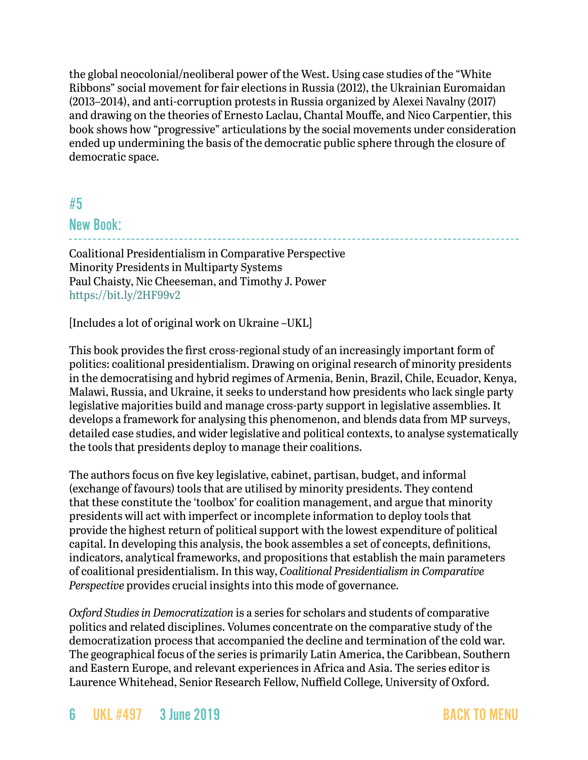the global neocolonial/neoliberal power of the West. Using case studies of the "White Ribbons" social movement for fair elections in Russia (2012), the Ukrainian Euromaidan (2013–2014), and anti-corruption protests in Russia organized by Alexei Navalny (2017) and drawing on the theories of Ernesto Laclau, Chantal Mouffe, and Nico Carpentier, this book shows how "progressive" articulations by the social movements under consideration ended up undermining the basis of the democratic public sphere through the closure of democratic space.

<span id="page-5-0"></span>#5

### New Book:

Coalitional Presidentialism in Comparative Perspective Minority Presidents in Multiparty Systems Paul Chaisty, Nic Cheeseman, and Timothy J. Power <https://bit.ly/2HF99v2>

[Includes a lot of original work on Ukraine –UKL]

This book provides the first cross-regional study of an increasingly important form of politics: coalitional presidentialism. Drawing on original research of minority presidents in the democratising and hybrid regimes of Armenia, Benin, Brazil, Chile, Ecuador, Kenya, Malawi, Russia, and Ukraine, it seeks to understand how presidents who lack single party legislative majorities build and manage cross-party support in legislative assemblies. It develops a framework for analysing this phenomenon, and blends data from MP surveys, detailed case studies, and wider legislative and political contexts, to analyse systematically the tools that presidents deploy to manage their coalitions.

The authors focus on five key legislative, cabinet, partisan, budget, and informal (exchange of favours) tools that are utilised by minority presidents. They contend that these constitute the 'toolbox' for coalition management, and argue that minority presidents will act with imperfect or incomplete information to deploy tools that provide the highest return of political support with the lowest expenditure of political capital. In developing this analysis, the book assembles a set of concepts, definitions, indicators, analytical frameworks, and propositions that establish the main parameters of coalitional presidentialism. In this way, *Coalitional Presidentialism in Comparative Perspective* provides crucial insights into this mode of governance.

*Oxford Studies in Democratization* is a series for scholars and students of comparative politics and related disciplines. Volumes concentrate on the comparative study of the democratization process that accompanied the decline and termination of the cold war. The geographical focus of the series is primarily Latin America, the Caribbean, Southern and Eastern Europe, and relevant experiences in Africa and Asia. The series editor is Laurence Whitehead, Senior Research Fellow, Nuffield College, University of Oxford.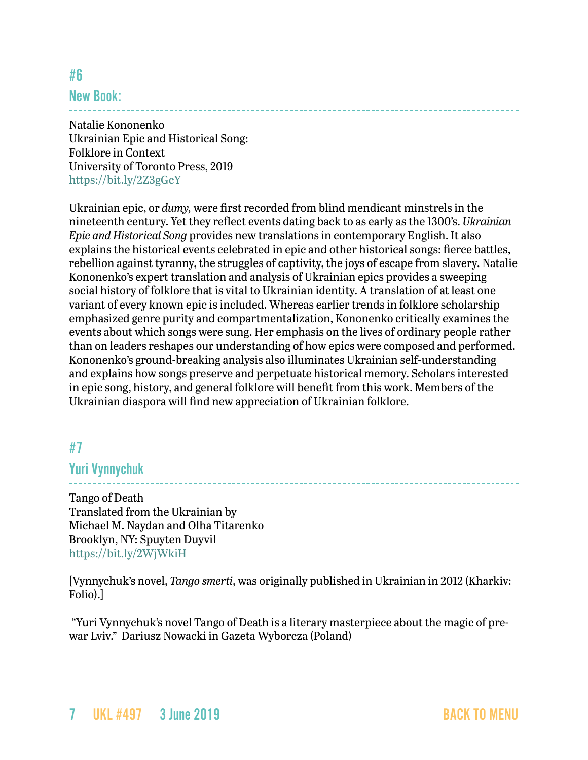<span id="page-6-0"></span>#6 New Book:

Natalie Kononenko Ukrainian Epic and Historical Song: Folklore in Context University of Toronto Press, 2019 <https://bit.ly/2Z3gGcY>

Ukrainian epic, or *dumy,* were first recorded from blind mendicant minstrels in the nineteenth century. Yet they reflect events dating back to as early as the 1300's. *Ukrainian Epic and Historical Song* provides new translations in contemporary English. It also explains the historical events celebrated in epic and other historical songs: fierce battles, rebellion against tyranny, the struggles of captivity, the joys of escape from slavery. Natalie Kononenko's expert translation and analysis of Ukrainian epics provides a sweeping social history of folklore that is vital to Ukrainian identity. A translation of at least one variant of every known epic is included. Whereas earlier trends in folklore scholarship emphasized genre purity and compartmentalization, Kononenko critically examines the events about which songs were sung. Her emphasis on the lives of ordinary people rather than on leaders reshapes our understanding of how epics were composed and performed. Kononenko's ground-breaking analysis also illuminates Ukrainian self-understanding and explains how songs preserve and perpetuate historical memory. Scholars interested in epic song, history, and general folklore will benefit from this work. Members of the Ukrainian diaspora will find new appreciation of Ukrainian folklore.

### <span id="page-6-1"></span>#7

Yuri Vynnychuk

Tango of Death Translated from the Ukrainian by Michael M. Naydan and Olha Titarenko Brooklyn, NY: Spuyten Duyvil <https://bit.ly/2WjWkiH>

[Vynnychuk's novel, *Tango smerti*, was originally published in Ukrainian in 2012 (Kharkiv: Folio).]

 "Yuri Vynnychuk's novel Tango of Death is a literary masterpiece about the magic of prewar Lviv." Dariusz Nowacki in Gazeta Wyborcza (Poland)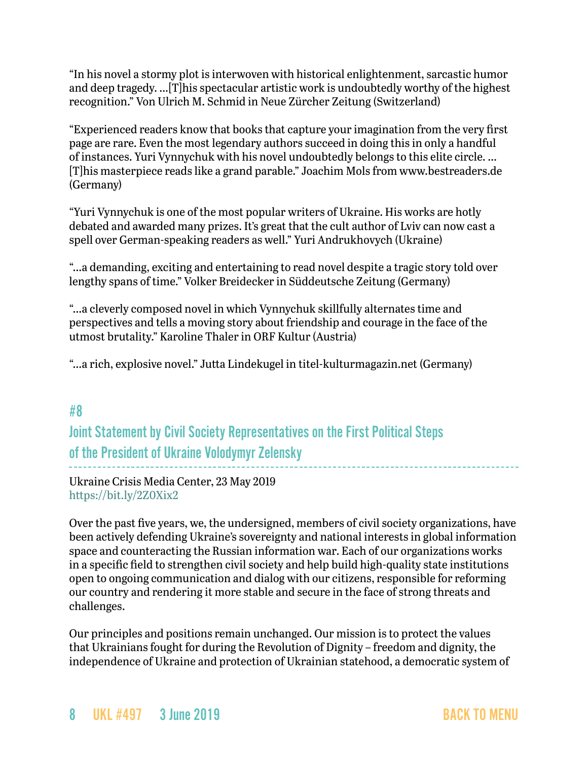"In his novel a stormy plot is interwoven with historical enlightenment, sarcastic humor and deep tragedy. …[T]his spectacular artistic work is undoubtedly worthy of the highest recognition." Von Ulrich M. Schmid in Neue Zürcher Zeitung (Switzerland)

"Experienced readers know that books that capture your imagination from the very first page are rare. Even the most legendary authors succeed in doing this in only a handful of instances. Yuri Vynnychuk with his novel undoubtedly belongs to this elite circle. … [T]his masterpiece reads like a grand parable." Joachim Mols from www.bestreaders.de (Germany)

"Yuri Vynnychuk is one of the most popular writers of Ukraine. His works are hotly debated and awarded many prizes. It's great that the cult author of Lviv can now cast a spell over German-speaking readers as well." Yuri Andrukhovych (Ukraine)

"…a demanding, exciting and entertaining to read novel despite a tragic story told over lengthy spans of time." Volker Breidecker in Süddeutsche Zeitung (Germany)

"…a cleverly composed novel in which Vynnychuk skillfully alternates time and perspectives and tells a moving story about friendship and courage in the face of the utmost brutality." Karoline Thaler in ORF Kultur (Austria)

"…a rich, explosive novel." Jutta Lindekugel in titel-kulturmagazin.net (Germany)

### <span id="page-7-0"></span>#8

Joint Statement by Civil Society Representatives on the First Political Steps of the President of Ukraine Volodymyr Zelensky

Ukraine Crisis Media Center, 23 May 2019 <https://bit.ly/2Z0Xix2>

Over the past five years, we, the undersigned, members of civil society organizations, have been actively defending Ukraine's sovereignty and national interests in global information space and counteracting the Russian information war. Each of our organizations works in a specific field to strengthen civil society and help build high-quality state institutions open to ongoing communication and dialog with our citizens, responsible for reforming our country and rendering it more stable and secure in the face of strong threats and challenges.

Our principles and positions remain unchanged. Our mission is to protect the values that Ukrainians fought for during the Revolution of Dignity – freedom and dignity, the independence of Ukraine and protection of Ukrainian statehood, a democratic system of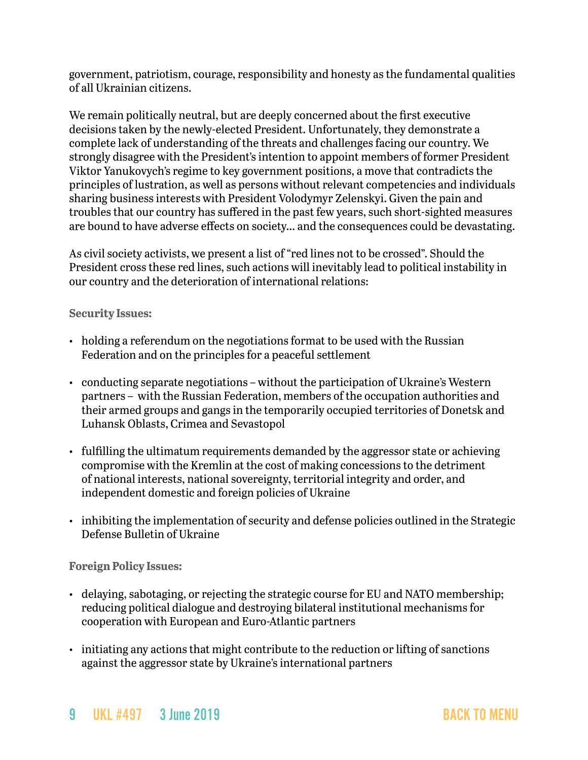government, patriotism, courage, responsibility and honesty as the fundamental qualities of all Ukrainian citizens.

We remain politically neutral, but are deeply concerned about the first executive decisions taken by the newly-elected President. Unfortunately, they demonstrate a complete lack of understanding of the threats and challenges facing our country. We strongly disagree with the President's intention to appoint members of former President Viktor Yanukovych's regime to key government positions, a move that contradicts the principles of lustration, as well as persons without relevant competencies and individuals sharing business interests with President Volodymyr Zelenskyi. Given the pain and troubles that our country has suffered in the past few years, such short-sighted measures are bound to have adverse effects on society… and the consequences could be devastating.

As civil society activists, we present a list of "red lines not to be crossed". Should the President cross these red lines, such actions will inevitably lead to political instability in our country and the deterioration of international relations:

#### **Security Issues:**

- holding a referendum on the negotiations format to be used with the Russian Federation and on the principles for a peaceful settlement
- conducting separate negotiations without the participation of Ukraine's Western partners – with the Russian Federation, members of the occupation authorities and their armed groups and gangs in the temporarily occupied territories of Donetsk and Luhansk Oblasts, Crimea and Sevastopol
- fulfilling the ultimatum requirements demanded by the aggressor state or achieving compromise with the Kremlin at the cost of making concessions to the detriment of national interests, national sovereignty, territorial integrity and order, and independent domestic and foreign policies of Ukraine
- inhibiting the implementation of security and defense policies outlined in the Strategic Defense Bulletin of Ukraine

#### **Foreign Policy Issues:**

- delaying, sabotaging, or rejecting the strategic course for EU and NATO membership; reducing political dialogue and destroying bilateral institutional mechanisms for cooperation with European and Euro-Atlantic partners
- initiating any actions that might contribute to the reduction or lifting of sanctions against the aggressor state by Ukraine's international partners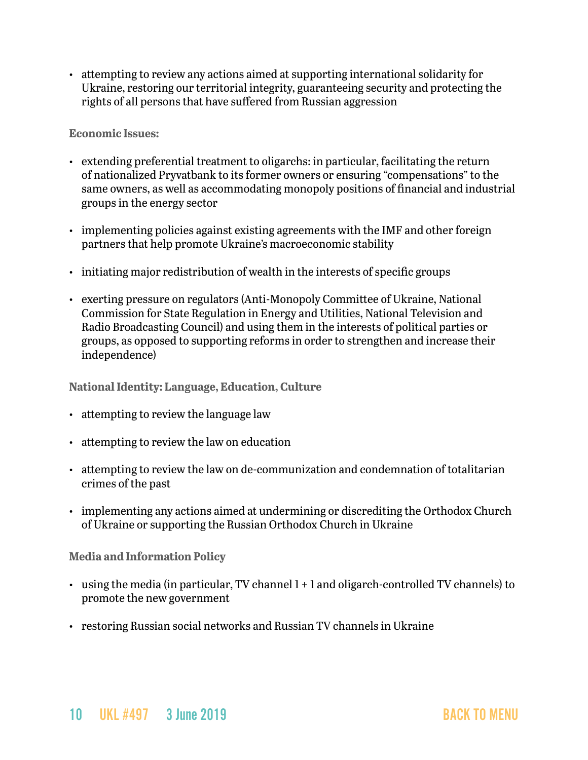• attempting to review any actions aimed at supporting international solidarity for Ukraine, restoring our territorial integrity, guaranteeing security and protecting the rights of all persons that have suffered from Russian aggression

**Economic Issues:**

- extending preferential treatment to oligarchs: in particular, facilitating the return of nationalized Pryvatbank to its former owners or ensuring "compensations" to the same owners, as well as accommodating monopoly positions of financial and industrial groups in the energy sector
- implementing policies against existing agreements with the IMF and other foreign partners that help promote Ukraine's macroeconomic stability
- initiating major redistribution of wealth in the interests of specific groups
- exerting pressure on regulators (Anti-Monopoly Committee of Ukraine, National Commission for State Regulation in Energy and Utilities, National Television and Radio Broadcasting Council) and using them in the interests of political parties or groups, as opposed to supporting reforms in order to strengthen and increase their independence)

**National Identity: Language, Education, Culture** 

- attempting to review the language law
- attempting to review the law on education
- attempting to review the law on de-communization and condemnation of totalitarian crimes of the past
- implementing any actions aimed at undermining or discrediting the Orthodox Church of Ukraine or supporting the Russian Orthodox Church in Ukraine

**Media and Information Policy**

- using the media (in particular, TV channel 1 + 1 and oligarch-controlled TV channels) to promote the new government
- restoring Russian social networks and Russian TV channels in Ukraine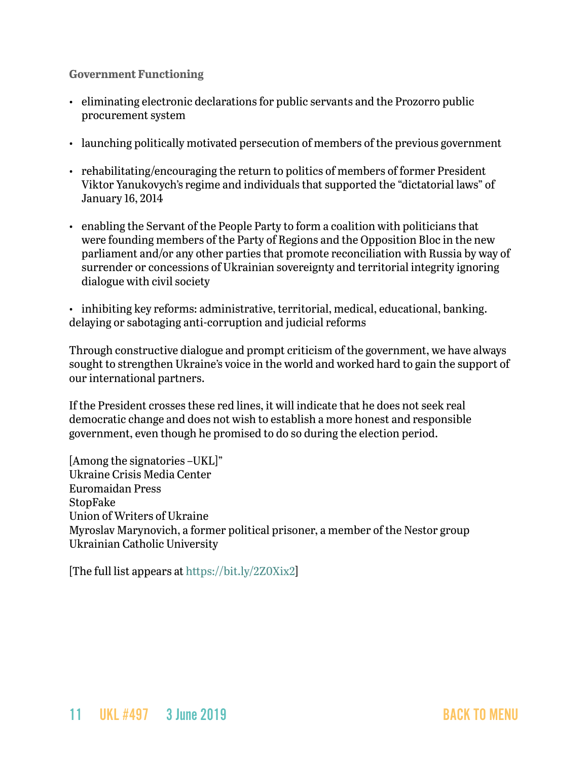#### **Government Functioning**

- eliminating electronic declarations for public servants and the Prozorro public procurement system
- launching politically motivated persecution of members of the previous government
- rehabilitating/encouraging the return to politics of members of former President Viktor Yanukovych's regime and individuals that supported the "dictatorial laws" of January 16, 2014
- enabling the Servant of the People Party to form a coalition with politicians that were founding members of the Party of Regions and the Opposition Bloc in the new parliament and/or any other parties that promote reconciliation with Russia by way of surrender or concessions of Ukrainian sovereignty and territorial integrity ignoring dialogue with civil society

• inhibiting key reforms: administrative, territorial, medical, educational, banking. delaying or sabotaging anti-corruption and judicial reforms

Through constructive dialogue and prompt criticism of the government, we have always sought to strengthen Ukraine's voice in the world and worked hard to gain the support of our international partners.

If the President crosses these red lines, it will indicate that he does not seek real democratic change and does not wish to establish a more honest and responsible government, even though he promised to do so during the election period.

[Among the signatories –UKL]" Ukraine Crisis Media Center Euromaidan Press StopFake Union of Writers of Ukraine Myroslav Marynovich, a former political prisoner, a member of the Nestor group Ukrainian Catholic University

[The full list appears at <https://bit.ly/2Z0Xix2>]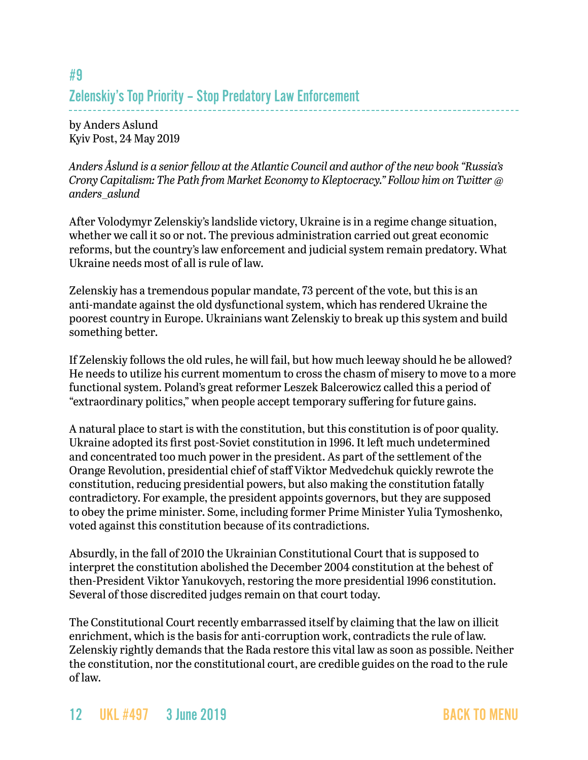# #9 Zelenskiy's Top Priority – Stop Predatory Law Enforcement

by Anders Aslund Kyiv Post, 24 May 2019

*Anders Åslund is a senior fellow at the Atlantic Council and author of the new book "Russia's Crony Capitalism: The Path from Market Economy to Kleptocracy." Follow him on Twitter @ anders\_aslund* 

After Volodymyr Zelenskiy's landslide victory, Ukraine is in a regime change situation, whether we call it so or not. The previous administration carried out great economic reforms, but the country's law enforcement and judicial system remain predatory. What Ukraine needs most of all is rule of law.

Zelenskiy has a tremendous popular mandate, 73 percent of the vote, but this is an anti-mandate against the old dysfunctional system, which has rendered Ukraine the poorest country in Europe. Ukrainians want Zelenskiy to break up this system and build something better.

If Zelenskiy follows the old rules, he will fail, but how much leeway should he be allowed? He needs to utilize his current momentum to cross the chasm of misery to move to a more functional system. Poland's great reformer Leszek Balcerowicz called this a period of "extraordinary politics," when people accept temporary suffering for future gains.

A natural place to start is with the constitution, but this constitution is of poor quality. Ukraine adopted its first post-Soviet constitution in 1996. It left much undetermined and concentrated too much power in the president. As part of the settlement of the Orange Revolution, presidential chief of staff Viktor Medvedchuk quickly rewrote the constitution, reducing presidential powers, but also making the constitution fatally contradictory. For example, the president appoints governors, but they are supposed to obey the prime minister. Some, including former Prime Minister Yulia Tymoshenko, voted against this constitution because of its contradictions.

Absurdly, in the fall of 2010 the Ukrainian Constitutional Court that is supposed to interpret the constitution abolished the December 2004 constitution at the behest of then-President Viktor Yanukovych, restoring the more presidential 1996 constitution. Several of those discredited judges remain on that court today.

The Constitutional Court recently embarrassed itself by claiming that the law on illicit enrichment, which is the basis for anti-corruption work, contradicts the rule of law. Zelenskiy rightly demands that the Rada restore this vital law as soon as possible. Neither the constitution, nor the constitutional court, are credible guides on the road to the rule of law.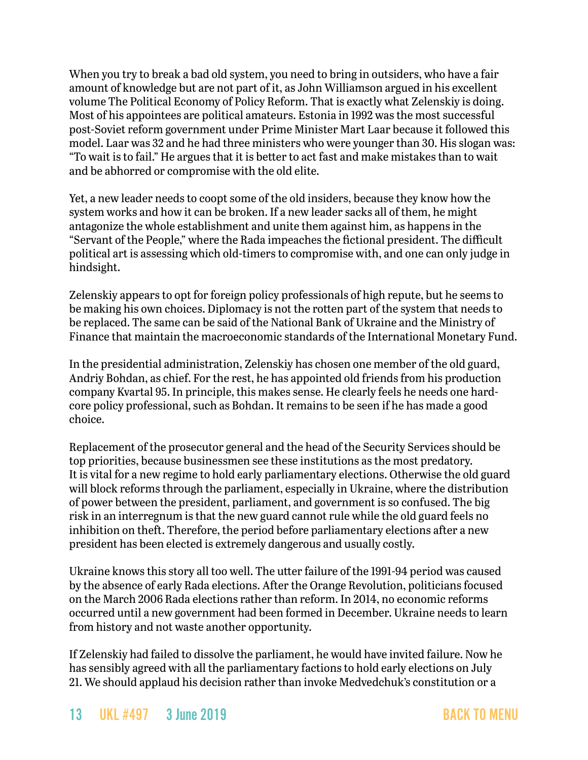When you try to break a bad old system, you need to bring in outsiders, who have a fair amount of knowledge but are not part of it, as John Williamson argued in his excellent volume The Political Economy of Policy Reform. That is exactly what Zelenskiy is doing. Most of his appointees are political amateurs. Estonia in 1992 was the most successful post-Soviet reform government under Prime Minister Mart Laar because it followed this model. Laar was 32 and he had three ministers who were younger than 30. His slogan was: "To wait is to fail." He argues that it is better to act fast and make mistakes than to wait and be abhorred or compromise with the old elite.

Yet, a new leader needs to coopt some of the old insiders, because they know how the system works and how it can be broken. If a new leader sacks all of them, he might antagonize the whole establishment and unite them against him, as happens in the "Servant of the People," where the Rada impeaches the fictional president. The difficult political art is assessing which old-timers to compromise with, and one can only judge in hindsight.

Zelenskiy appears to opt for foreign policy professionals of high repute, but he seems to be making his own choices. Diplomacy is not the rotten part of the system that needs to be replaced. The same can be said of the National Bank of Ukraine and the Ministry of Finance that maintain the macroeconomic standards of the International Monetary Fund.

In the presidential administration, Zelenskiy has chosen one member of the old guard, Andriy Bohdan, as chief. For the rest, he has appointed old friends from his production company Kvartal 95. In principle, this makes sense. He clearly feels he needs one hardcore policy professional, such as Bohdan. It remains to be seen if he has made a good choice.

Replacement of the prosecutor general and the head of the Security Services should be top priorities, because businessmen see these institutions as the most predatory. It is vital for a new regime to hold early parliamentary elections. Otherwise the old guard will block reforms through the parliament, especially in Ukraine, where the distribution of power between the president, parliament, and government is so confused. The big risk in an interregnum is that the new guard cannot rule while the old guard feels no inhibition on theft. Therefore, the period before parliamentary elections after a new president has been elected is extremely dangerous and usually costly.

Ukraine knows this story all too well. The utter failure of the 1991-94 period was caused by the absence of early Rada elections. After the Orange Revolution, politicians focused on the March 2006 Rada elections rather than reform. In 2014, no economic reforms occurred until a new government had been formed in December. Ukraine needs to learn from history and not waste another opportunity.

If Zelenskiy had failed to dissolve the parliament, he would have invited failure. Now he has sensibly agreed with all the parliamentary factions to hold early elections on July 21. We should applaud his decision rather than invoke Medvedchuk's constitution or a

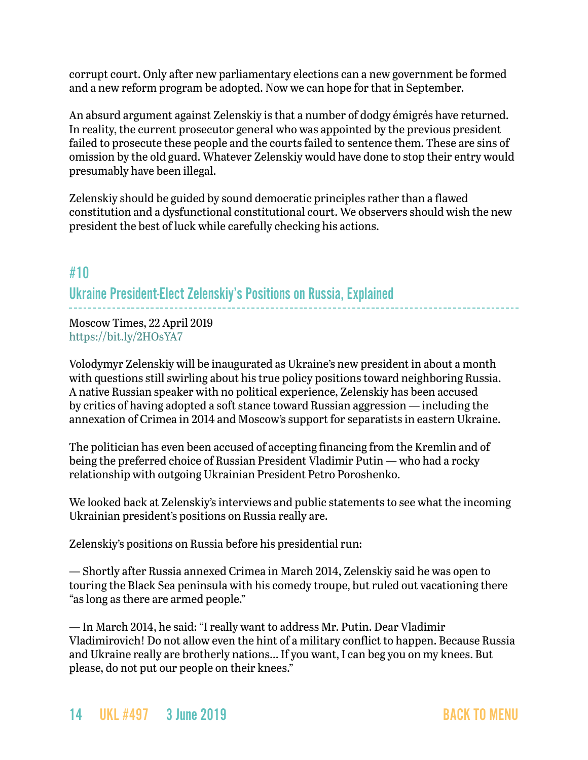corrupt court. Only after new parliamentary elections can a new government be formed and a new reform program be adopted. Now we can hope for that in September.

An absurd argument against Zelenskiy is that a number of dodgy émigrés have returned. In reality, the current prosecutor general who was appointed by the previous president failed to prosecute these people and the courts failed to sentence them. These are sins of omission by the old guard. Whatever Zelenskiy would have done to stop their entry would presumably have been illegal.

Zelenskiy should be guided by sound democratic principles rather than a flawed constitution and a dysfunctional constitutional court. We observers should wish the new president the best of luck while carefully checking his actions.

### #10

Ukraine President-Elect Zelenskiy's Positions on Russia, Explained

Moscow Times, 22 April 2019 <https://bit.ly/2HOsYA7>

Volodymyr Zelenskiy will be inaugurated as Ukraine's new president in about a month with questions still swirling about his true policy positions toward neighboring Russia. A native Russian speaker with no political experience, Zelenskiy has been accused by critics of having adopted a soft stance toward Russian aggression — including the annexation of Crimea in 2014 and Moscow's support for separatists in eastern Ukraine.

The politician has even been accused of accepting financing from the Kremlin and of being the preferred choice of Russian President Vladimir Putin — who had a rocky relationship with outgoing Ukrainian President Petro Poroshenko.

We looked back at Zelenskiy's interviews and public statements to see what the incoming Ukrainian president's positions on Russia really are.

Zelenskiy's positions on Russia before his presidential run:

— Shortly after Russia annexed Crimea in March 2014, Zelenskiy said he was open to touring the Black Sea peninsula with his comedy troupe, but ruled out vacationing there "as long as there are armed people."

— In March 2014, he said: "I really want to address Mr. Putin. Dear Vladimir Vladimirovich! Do not allow even the hint of a military conflict to happen. Because Russia and Ukraine really are brotherly nations… If you want, I can beg you on my knees. But please, do not put our people on their knees."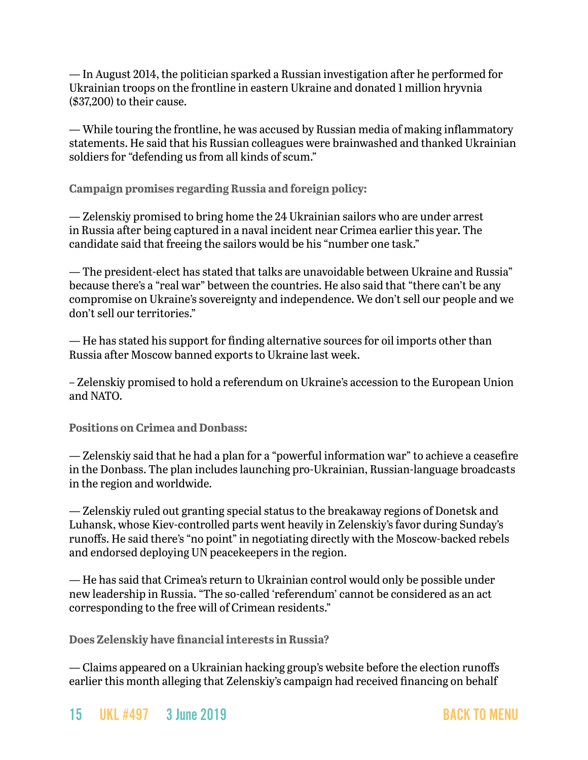— In August 2014, the politician sparked a Russian investigation after he performed for Ukrainian troops on the frontline in eastern Ukraine and donated 1 million hryvnia (\$37,200) to their cause.

— While touring the frontline, he was accused by Russian media of making inflammatory statements. He said that his Russian colleagues were brainwashed and thanked Ukrainian soldiers for "defending us from all kinds of scum."

**Campaign promises regarding Russia and foreign policy:**

— Zelenskiy promised to bring home the 24 Ukrainian sailors who are under arrest in Russia after being captured in a naval incident near Crimea earlier this year. The candidate said that freeing the sailors would be his "number one task."

— The president-elect has stated that talks are unavoidable between Ukraine and Russia" because there's a "real war" between the countries. He also said that "there can't be any compromise on Ukraine's sovereignty and independence. We don't sell our people and we don't sell our territories."

— He has stated his support for finding alternative sources for oil imports other than Russia after Moscow banned exports to Ukraine last week.

– Zelenskiy promised to hold a referendum on Ukraine's accession to the European Union and NATO.

**Positions on Crimea and Donbass:**

— Zelenskiy said that he had a plan for a "powerful information war" to achieve a ceasefire in the Donbass. The plan includes launching pro-Ukrainian, Russian-language broadcasts in the region and worldwide.

— Zelenskiy ruled out granting special status to the breakaway regions of Donetsk and Luhansk, whose Kiev-controlled parts went heavily in Zelenskiy's favor during Sunday's runoffs. He said there's "no point" in negotiating directly with the Moscow-backed rebels and endorsed deploying UN peacekeepers in the region.

— He has said that Crimea's return to Ukrainian control would only be possible under new leadership in Russia. "The so-called 'referendum' cannot be considered as an act corresponding to the free will of Crimean residents."

**Does Zelenskiy have financial interests in Russia?**

— Claims appeared on a Ukrainian hacking group's website before the election runoffs earlier this month alleging that Zelenskiy's campaign had received financing on behalf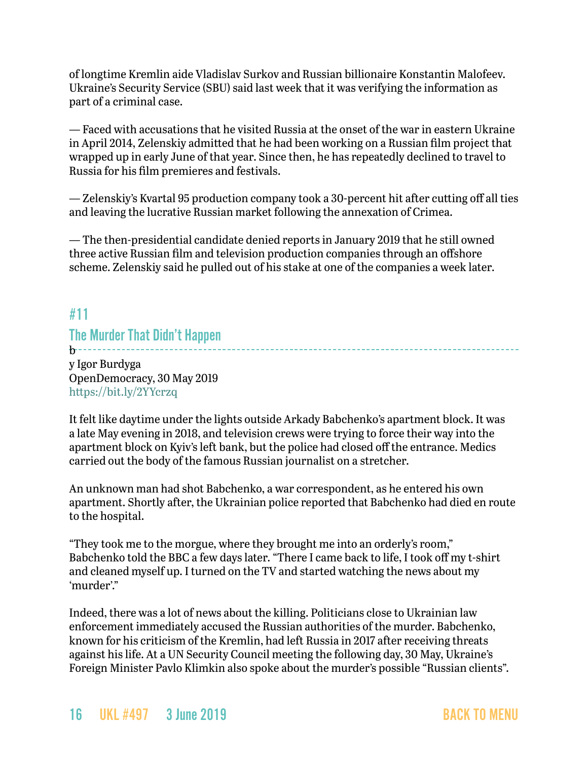of longtime Kremlin aide Vladislav Surkov and Russian billionaire Konstantin Malofeev. Ukraine's Security Service (SBU) said last week that it was verifying the information as part of a criminal case.

— Faced with accusations that he visited Russia at the onset of the war in eastern Ukraine in April 2014, Zelenskiy admitted that he had been working on a Russian film project that wrapped up in early June of that year. Since then, he has repeatedly declined to travel to Russia for his film premieres and festivals.

— Zelenskiy's Kvartal 95 production company took a 30-percent hit after cutting off all ties and leaving the lucrative Russian market following the annexation of Crimea.

— The then-presidential candidate denied reports in January 2019 that he still owned three active Russian film and television production companies through an offshore scheme. Zelenskiy said he pulled out of his stake at one of the companies a week later.

### #11

**b**----------

# The Murder That Didn't Happen

y Igor Burdyga OpenDemocracy, 30 May 2019 <https://bit.ly/2YYcrzq>

It felt like daytime under the lights outside Arkady Babchenko's apartment block. It was a late May evening in 2018, and television crews were trying to force their way into the apartment block on Kyiv's left bank, but the police had closed off the entrance. Medics carried out the body of the famous Russian journalist on a stretcher.

An unknown man had shot Babchenko, a war correspondent, as he entered his own apartment. Shortly after, the Ukrainian police reported that Babchenko had died en route to the hospital.

"They took me to the morgue, where they brought me into an orderly's room," Babchenko told the BBC a few days later. "There I came back to life, I took off my t-shirt and cleaned myself up. I turned on the TV and started watching the news about my 'murder'."

Indeed, there was a lot of news about the killing. Politicians close to Ukrainian law enforcement immediately accused the Russian authorities of the murder. Babchenko, known for his criticism of the Kremlin, had left Russia in 2017 after receiving threats against his life. At a UN Security Council meeting the following day, 30 May, Ukraine's Foreign Minister Pavlo Klimkin also spoke about the murder's possible "Russian clients".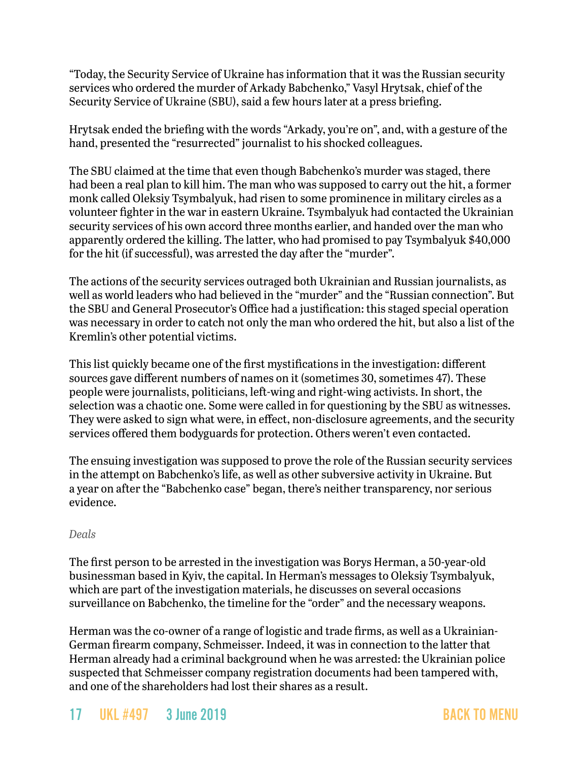"Today, the Security Service of Ukraine has information that it was the Russian security services who ordered the murder of Arkady Babchenko," Vasyl Hrytsak, chief of the Security Service of Ukraine (SBU), said a few hours later at a press briefing.

Hrytsak ended the briefing with the words "Arkady, you're on", and, with a gesture of the hand, presented the "resurrected" journalist to his shocked colleagues.

The SBU claimed at the time that even though Babchenko's murder was staged, there had been a real plan to kill him. The man who was supposed to carry out the hit, a former monk called Oleksiy Tsymbalyuk, had risen to some prominence in military circles as a volunteer fighter in the war in eastern Ukraine. Tsymbalyuk had contacted the Ukrainian security services of his own accord three months earlier, and handed over the man who apparently ordered the killing. The latter, who had promised to pay Tsymbalyuk \$40,000 for the hit (if successful), was arrested the day after the "murder".

The actions of the security services outraged both Ukrainian and Russian journalists, as well as world leaders who had believed in the "murder" and the "Russian connection". But the SBU and General Prosecutor's Office had a justification: this staged special operation was necessary in order to catch not only the man who ordered the hit, but also a list of the Kremlin's other potential victims.

This list quickly became one of the first mystifications in the investigation: different sources gave different numbers of names on it (sometimes 30, sometimes 47). These people were journalists, politicians, left-wing and right-wing activists. In short, the selection was a chaotic one. Some were called in for questioning by the SBU as witnesses. They were asked to sign what were, in effect, non-disclosure agreements, and the security services offered them bodyguards for protection. Others weren't even contacted.

The ensuing investigation was supposed to prove the role of the Russian security services in the attempt on Babchenko's life, as well as other subversive activity in Ukraine. But a year on after the "Babchenko case" began, there's neither transparency, nor serious evidence.

#### *Deals*

The first person to be arrested in the investigation was Borys Herman, a 50-year-old businessman based in Kyiv, the capital. In Herman's messages to Oleksiy Tsymbalyuk, which are part of the investigation materials, he discusses on several occasions surveillance on Babchenko, the timeline for the "order" and the necessary weapons.

Herman was the co-owner of a range of logistic and trade firms, as well as a Ukrainian-German firearm company, Schmeisser. Indeed, it was in connection to the latter that Herman already had a criminal background when he was arrested: the Ukrainian police suspected that Schmeisser company registration documents had been tampered with, and one of the shareholders had lost their shares as a result.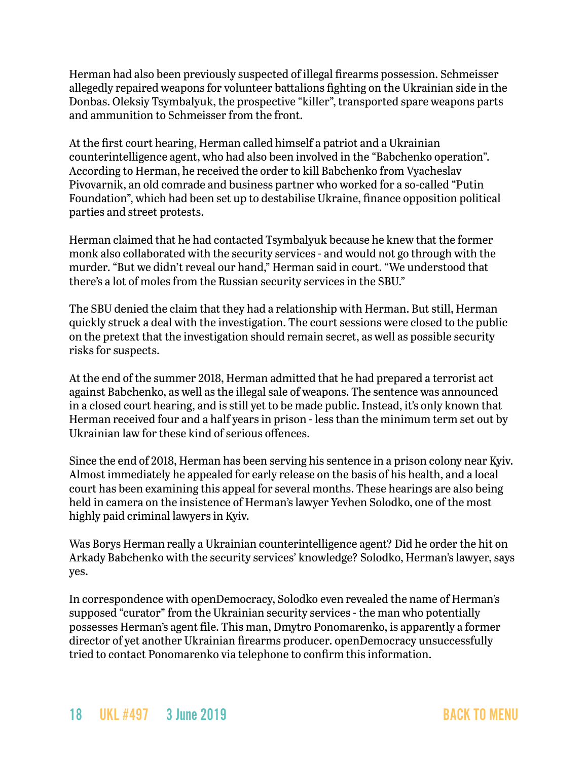Herman had also been previously suspected of illegal firearms possession. Schmeisser allegedly repaired weapons for volunteer battalions fighting on the Ukrainian side in the Donbas. Oleksiy Tsymbalyuk, the prospective "killer", transported spare weapons parts and ammunition to Schmeisser from the front.

At the first court hearing, Herman called himself a patriot and a Ukrainian counterintelligence agent, who had also been involved in the "Babchenko operation". According to Herman, he received the order to kill Babchenko from Vyacheslav Pivovarnik, an old comrade and business partner who worked for a so-called "Putin Foundation", which had been set up to destabilise Ukraine, finance opposition political parties and street protests.

Herman claimed that he had contacted Tsymbalyuk because he knew that the former monk also collaborated with the security services - and would not go through with the murder. "But we didn't reveal our hand," Herman said in court. "We understood that there's a lot of moles from the Russian security services in the SBU."

The SBU denied the claim that they had a relationship with Herman. But still, Herman quickly struck a deal with the investigation. The court sessions were closed to the public on the pretext that the investigation should remain secret, as well as possible security risks for suspects.

At the end of the summer 2018, Herman admitted that he had prepared a terrorist act against Babchenko, as well as the illegal sale of weapons. The sentence was announced in a closed court hearing, and is still yet to be made public. Instead, it's only known that Herman received four and a half years in prison - less than the minimum term set out by Ukrainian law for these kind of serious offences.

Since the end of 2018, Herman has been serving his sentence in a prison colony near Kyiv. Almost immediately he appealed for early release on the basis of his health, and a local court has been examining this appeal for several months. These hearings are also being held in camera on the insistence of Herman's lawyer Yevhen Solodko, one of the most highly paid criminal lawyers in Kyiv.

Was Borys Herman really a Ukrainian counterintelligence agent? Did he order the hit on Arkady Babchenko with the security services' knowledge? Solodko, Herman's lawyer, says yes.

In correspondence with openDemocracy, Solodko even revealed the name of Herman's supposed "curator" from the Ukrainian security services - the man who potentially possesses Herman's agent file. This man, Dmytro Ponomarenko, is apparently a former director of yet another Ukrainian firearms producer. openDemocracy unsuccessfully tried to contact Ponomarenko via telephone to confirm this information.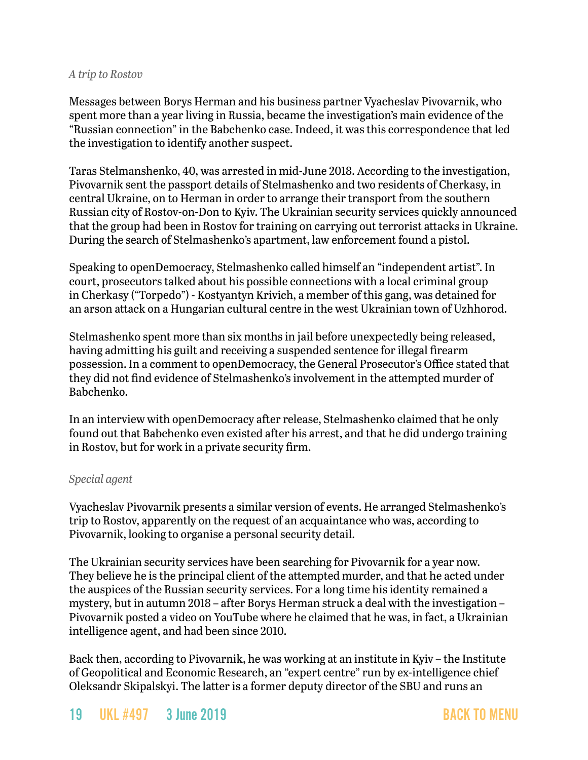#### *A trip to Rostov*

Messages between Borys Herman and his business partner Vyacheslav Pivovarnik, who spent more than a year living in Russia, became the investigation's main evidence of the "Russian connection" in the Babchenko case. Indeed, it was this correspondence that led the investigation to identify another suspect.

Taras Stelmanshenko, 40, was arrested in mid-June 2018. According to the investigation, Pivovarnik sent the passport details of Stelmashenko and two residents of Cherkasy, in central Ukraine, on to Herman in order to arrange their transport from the southern Russian city of Rostov-on-Don to Kyiv. The Ukrainian security services quickly announced that the group had been in Rostov for training on carrying out terrorist attacks in Ukraine. During the search of Stelmashenko's apartment, law enforcement found a pistol.

Speaking to openDemocracy, Stelmashenko called himself an "independent artist". In court, prosecutors talked about his possible connections with a local criminal group in Cherkasy ("Torpedo") - Kostyantyn Krivich, a member of this gang, was detained for an arson attack on a Hungarian cultural centre in the west Ukrainian town of Uzhhorod.

Stelmashenko spent more than six months in jail before unexpectedly being released, having admitting his guilt and receiving a suspended sentence for illegal firearm possession. In a comment to openDemocracy, the General Prosecutor's Office stated that they did not find evidence of Stelmashenko's involvement in the attempted murder of Babchenko.

In an interview with openDemocracy after release, Stelmashenko claimed that he only found out that Babchenko even existed after his arrest, and that he did undergo training in Rostov, but for work in a private security firm.

#### *Special agent*

Vyacheslav Pivovarnik presents a similar version of events. He arranged Stelmashenko's trip to Rostov, apparently on the request of an acquaintance who was, according to Pivovarnik, looking to organise a personal security detail.

The Ukrainian security services have been searching for Pivovarnik for a year now. They believe he is the principal client of the attempted murder, and that he acted under the auspices of the Russian security services. For a long time his identity remained a mystery, but in autumn 2018 – after Borys Herman struck a deal with the investigation – Pivovarnik posted a video on YouTube where he claimed that he was, in fact, a Ukrainian intelligence agent, and had been since 2010.

Back then, according to Pivovarnik, he was working at an institute in Kyiv – the Institute of Geopolitical and Economic Research, an "expert centre" run by ex-intelligence chief Oleksandr Skipalskyi. The latter is a former deputy director of the SBU and runs an

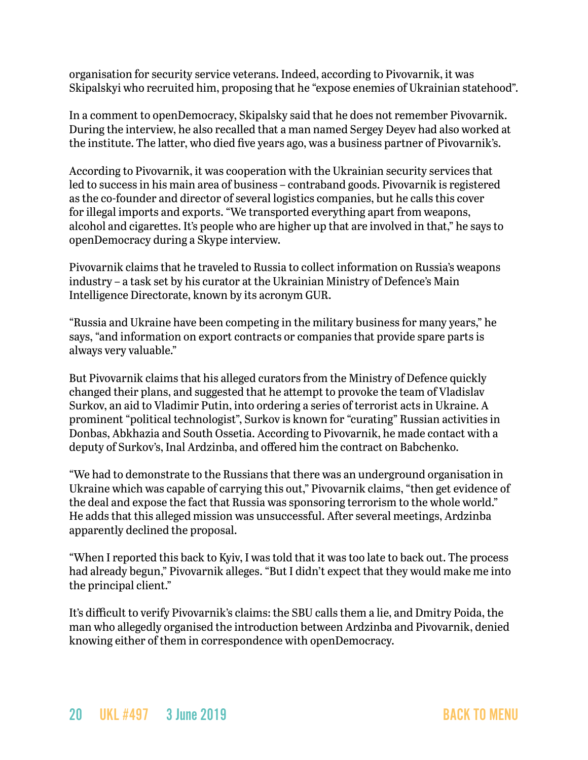organisation for security service veterans. Indeed, according to Pivovarnik, it was Skipalskyi who recruited him, proposing that he "expose enemies of Ukrainian statehood".

In a comment to openDemocracy, Skipalsky said that he does not remember Pivovarnik. During the interview, he also recalled that a man named Sergey Deyev had also worked at the institute. The latter, who died five years ago, was a business partner of Pivovarnik's.

According to Pivovarnik, it was cooperation with the Ukrainian security services that led to success in his main area of business – contraband goods. Pivovarnik is registered as the co-founder and director of several logistics companies, but he calls this cover for illegal imports and exports. "We transported everything apart from weapons, alcohol and cigarettes. It's people who are higher up that are involved in that," he says to openDemocracy during a Skype interview.

Pivovarnik claims that he traveled to Russia to collect information on Russia's weapons industry – a task set by his curator at the Ukrainian Ministry of Defence's Main Intelligence Directorate, known by its acronym GUR.

"Russia and Ukraine have been competing in the military business for many years," he says, "and information on export contracts or companies that provide spare parts is always very valuable."

But Pivovarnik claims that his alleged curators from the Ministry of Defence quickly changed their plans, and suggested that he attempt to provoke the team of Vladislav Surkov, an aid to Vladimir Putin, into ordering a series of terrorist acts in Ukraine. A prominent "political technologist", Surkov is known for "curating" Russian activities in Donbas, Abkhazia and South Ossetia. According to Pivovarnik, he made contact with a deputy of Surkov's, Inal Ardzinba, and offered him the contract on Babchenko.

"We had to demonstrate to the Russians that there was an underground organisation in Ukraine which was capable of carrying this out," Pivovarnik claims, "then get evidence of the deal and expose the fact that Russia was sponsoring terrorism to the whole world." He adds that this alleged mission was unsuccessful. After several meetings, Ardzinba apparently declined the proposal.

"When I reported this back to Kyiv, I was told that it was too late to back out. The process had already begun," Pivovarnik alleges. "But I didn't expect that they would make me into the principal client."

It's difficult to verify Pivovarnik's claims: the SBU calls them a lie, and Dmitry Poida, the man who allegedly organised the introduction between Ardzinba and Pivovarnik, denied knowing either of them in correspondence with openDemocracy.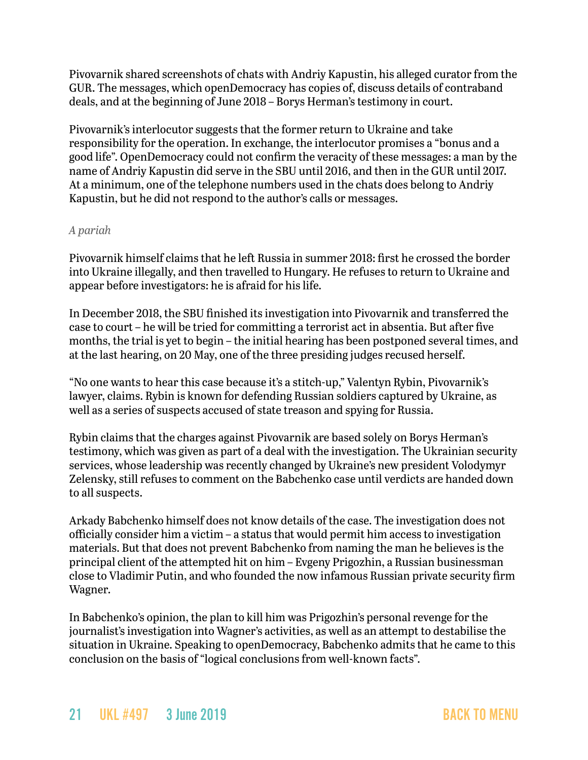Pivovarnik shared screenshots of chats with Andriy Kapustin, his alleged curator from the GUR. The messages, which openDemocracy has copies of, discuss details of contraband deals, and at the beginning of June 2018 – Borys Herman's testimony in court.

Pivovarnik's interlocutor suggests that the former return to Ukraine and take responsibility for the operation. In exchange, the interlocutor promises a "bonus and a good life". OpenDemocracy could not confirm the veracity of these messages: a man by the name of Andriy Kapustin did serve in the SBU until 2016, and then in the GUR until 2017. At a minimum, one of the telephone numbers used in the chats does belong to Andriy Kapustin, but he did not respond to the author's calls or messages.

#### *A pariah*

Pivovarnik himself claims that he left Russia in summer 2018: first he crossed the border into Ukraine illegally, and then travelled to Hungary. He refuses to return to Ukraine and appear before investigators: he is afraid for his life.

In December 2018, the SBU finished its investigation into Pivovarnik and transferred the case to court – he will be tried for committing a terrorist act in absentia. But after five months, the trial is yet to begin – the initial hearing has been postponed several times, and at the last hearing, on 20 May, one of the three presiding judges recused herself.

"No one wants to hear this case because it's a stitch-up," Valentyn Rybin, Pivovarnik's lawyer, claims. Rybin is known for defending Russian soldiers captured by Ukraine, as well as a series of suspects accused of state treason and spying for Russia.

Rybin claims that the charges against Pivovarnik are based solely on Borys Herman's testimony, which was given as part of a deal with the investigation. The Ukrainian security services, whose leadership was recently changed by Ukraine's new president Volodymyr Zelensky, still refuses to comment on the Babchenko case until verdicts are handed down to all suspects.

Arkady Babchenko himself does not know details of the case. The investigation does not officially consider him a victim – a status that would permit him access to investigation materials. But that does not prevent Babchenko from naming the man he believes is the principal client of the attempted hit on him – Evgeny Prigozhin, a Russian businessman close to Vladimir Putin, and who founded the now infamous Russian private security firm Wagner.

In Babchenko's opinion, the plan to kill him was Prigozhin's personal revenge for the journalist's investigation into Wagner's activities, as well as an attempt to destabilise the situation in Ukraine. Speaking to openDemocracy, Babchenko admits that he came to this conclusion on the basis of "logical conclusions from well-known facts".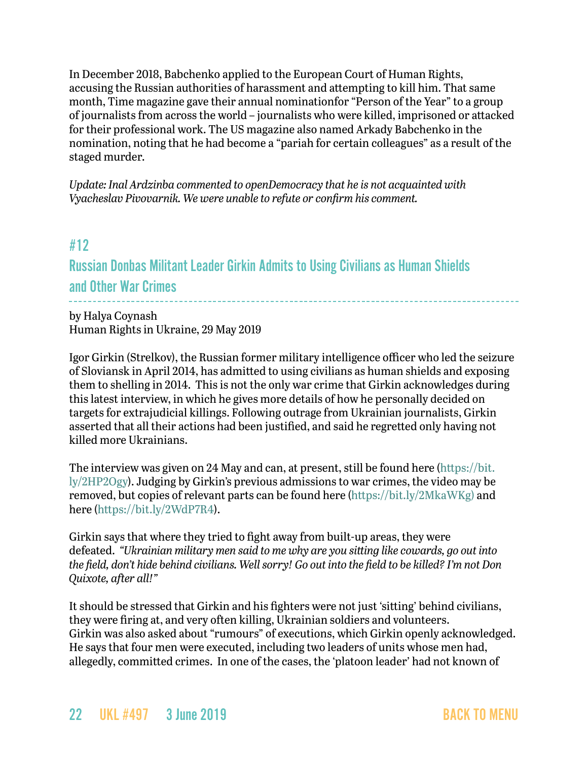In December 2018, Babchenko applied to the European Court of Human Rights, accusing the Russian authorities of harassment and attempting to kill him. That same month, Time magazine gave their annual nominationfor "Person of the Year" to a group of journalists from across the world – journalists who were killed, imprisoned or attacked for their professional work. The US magazine also named Arkady Babchenko in the nomination, noting that he had become a "pariah for certain colleagues" as a result of the staged murder.

*Update: Inal Ardzinba commented to openDemocracy that he is not acquainted with Vyacheslav Pivovarnik. We were unable to refute or confirm his comment.*

### <span id="page-21-0"></span>#12

Russian Donbas Militant Leader Girkin Admits to Using Civilians as Human Shields and Other War Crimes

by Halya Coynash Human Rights in Ukraine, 29 May 2019

Igor Girkin (Strelkov), the Russian former military intelligence officer who led the seizure of Sloviansk in April 2014, has admitted to using civilians as human shields and exposing them to shelling in 2014. This is not the only war crime that Girkin acknowledges during this latest interview, in which he gives more details of how he personally decided on targets for extrajudicial killings. Following outrage from Ukrainian journalists, Girkin asserted that all their actions had been justified, and said he regretted only having not killed more Ukrainians.

The interview was given on 24 May and can, at present, still be found here [\(https://bit.](https://bit.ly/2HP2Ogy) [ly/2HP2Ogy](https://bit.ly/2HP2Ogy)). Judging by Girkin's previous admissions to war crimes, the video may be removed, but copies of relevant parts can be found here ([https://bit.ly/2MkaWKg\)](https://bit.ly/2MkaWKg)) and here ([https://bit.ly/2WdP7R4\)](https://bit.ly/2WdP7R4).

Girkin says that where they tried to fight away from built-up areas, they were defeated. *"Ukrainian military men said to me why are you sitting like cowards, go out into the field, don't hide behind civilians. Well sorry! Go out into the field to be killed? I'm not Don Quixote, after all!"*

It should be stressed that Girkin and his fighters were not just 'sitting' behind civilians, they were firing at, and very often killing, Ukrainian soldiers and volunteers. Girkin was also asked about "rumours" of executions, which Girkin openly acknowledged. He says that four men were executed, including two leaders of units whose men had, allegedly, committed crimes. In one of the cases, the 'platoon leader' had not known of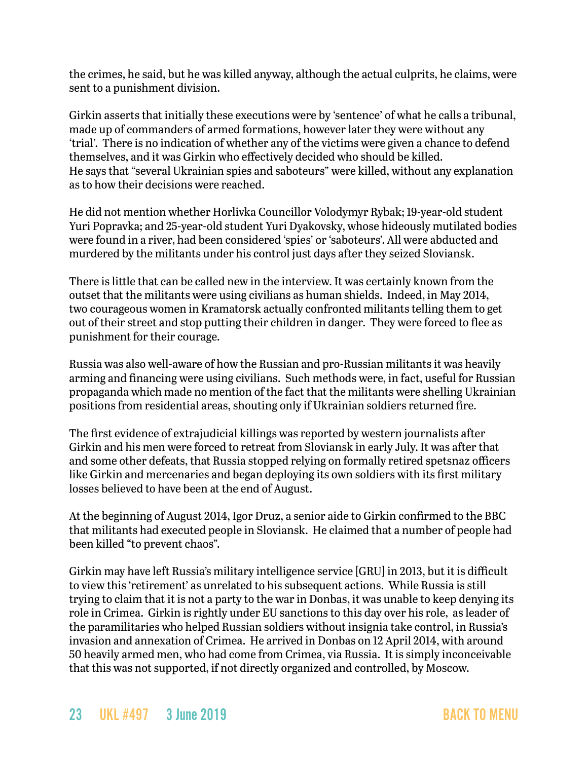the crimes, he said, but he was killed anyway, although the actual culprits, he claims, were sent to a punishment division.

Girkin asserts that initially these executions were by 'sentence' of what he calls a tribunal, made up of commanders of armed formations, however later they were without any 'trial'. There is no indication of whether any of the victims were given a chance to defend themselves, and it was Girkin who effectively decided who should be killed. He says that "several Ukrainian spies and saboteurs" were killed, without any explanation as to how their decisions were reached.

He did not mention whether Horlivka Councillor Volodymyr Rybak; 19-year-old student Yuri Popravka; and 25-year-old student Yuri Dyakovsky, whose hideously mutilated bodies were found in a river, had been considered 'spies' or 'saboteurs'. All were abducted and murdered by the militants under his control just days after they seized Sloviansk.

There is little that can be called new in the interview. It was certainly known from the outset that the militants were using civilians as human shields. Indeed, in May 2014, two courageous women in Kramatorsk actually confronted militants telling them to get out of their street and stop putting their children in danger. They were forced to flee as punishment for their courage.

Russia was also well-aware of how the Russian and pro-Russian militants it was heavily arming and financing were using civilians. Such methods were, in fact, useful for Russian propaganda which made no mention of the fact that the militants were shelling Ukrainian positions from residential areas, shouting only if Ukrainian soldiers returned fire.

The first evidence of extrajudicial killings was reported by western journalists after Girkin and his men were forced to retreat from Sloviansk in early July. It was after that and some other defeats, that Russia stopped relying on formally retired spetsnaz officers like Girkin and mercenaries and began deploying its own soldiers with its first military losses believed to have been at the end of August.

At the beginning of August 2014, Igor Druz, a senior aide to Girkin confirmed to the BBC that militants had executed people in Sloviansk. He claimed that a number of people had been killed "to prevent chaos".

Girkin may have left Russia's military intelligence service [GRU] in 2013, but it is difficult to view this 'retirement' as unrelated to his subsequent actions. While Russia is still trying to claim that it is not a party to the war in Donbas, it was unable to keep denying its role in Crimea. Girkin is rightly under EU sanctions to this day over his role, as leader of the paramilitaries who helped Russian soldiers without insignia take control, in Russia's invasion and annexation of Crimea. He arrived in Donbas on 12 April 2014, with around 50 heavily armed men, who had come from Crimea, via Russia. It is simply inconceivable that this was not supported, if not directly organized and controlled, by Moscow.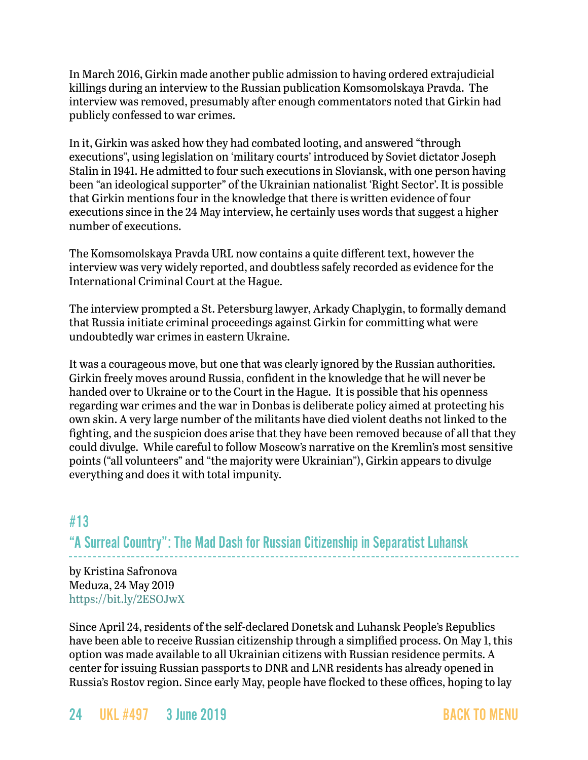In March 2016, Girkin made another public admission to having ordered extrajudicial killings during an interview to the Russian publication Komsomolskaya Pravda. The interview was removed, presumably after enough commentators noted that Girkin had publicly confessed to war crimes.

In it, Girkin was asked how they had combated looting, and answered "through executions", using legislation on 'military courts' introduced by Soviet dictator Joseph Stalin in 1941. He admitted to four such executions in Sloviansk, with one person having been "an ideological supporter" of the Ukrainian nationalist 'Right Sector'. It is possible that Girkin mentions four in the knowledge that there is written evidence of four executions since in the 24 May interview, he certainly uses words that suggest a higher number of executions.

The Komsomolskaya Pravda URL now contains a quite different text, however the interview was very widely reported, and doubtless safely recorded as evidence for the International Criminal Court at the Hague.

The interview prompted a St. Petersburg lawyer, Arkady Chaplygin, to formally demand that Russia initiate criminal proceedings against Girkin for committing what were undoubtedly war crimes in eastern Ukraine.

It was a courageous move, but one that was clearly ignored by the Russian authorities. Girkin freely moves around Russia, confident in the knowledge that he will never be handed over to Ukraine or to the Court in the Hague. It is possible that his openness regarding war crimes and the war in Donbas is deliberate policy aimed at protecting his own skin. A very large number of the militants have died violent deaths not linked to the fighting, and the suspicion does arise that they have been removed because of all that they could divulge. While careful to follow Moscow's narrative on the Kremlin's most sensitive points ("all volunteers" and "the majority were Ukrainian"), Girkin appears to divulge everything and does it with total impunity.

### #13

"A Surreal Country": The Mad Dash for Russian Citizenship in Separatist Luhansk

by Kristina Safronova Meduza, 24 May 2019 <https://bit.ly/2ESOJwX>

Since April 24, residents of the self-declared Donetsk and Luhansk People's Republics have been able to receive Russian citizenship through a simplified process. On May 1, this option was made available to all Ukrainian citizens with Russian residence permits. A center for issuing Russian passports to DNR and LNR residents has already opened in Russia's Rostov region. Since early May, people have flocked to these offices, hoping to lay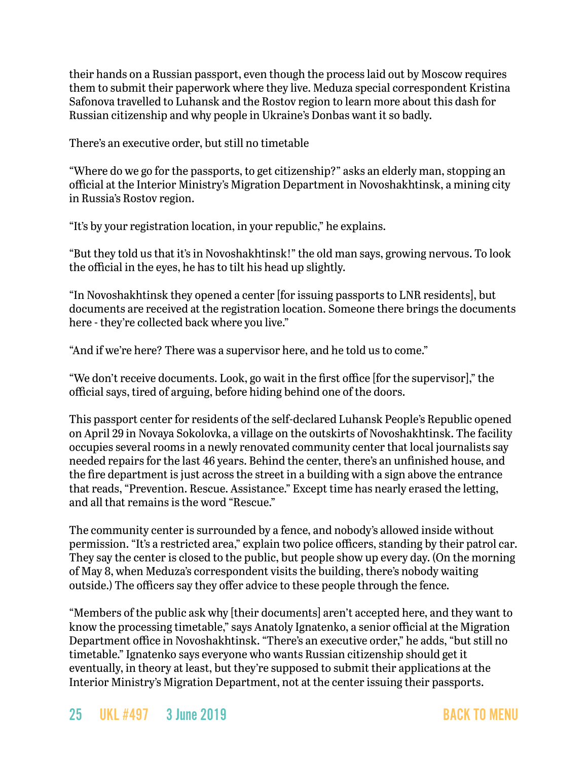their hands on a Russian passport, even though the process laid out by Moscow requires them to submit their paperwork where they live. Meduza special correspondent Kristina Safonova travelled to Luhansk and the Rostov region to learn more about this dash for Russian citizenship and why people in Ukraine's Donbas want it so badly.

There's an executive order, but still no timetable

"Where do we go for the passports, to get citizenship?" asks an elderly man, stopping an official at the Interior Ministry's Migration Department in Novoshakhtinsk, a mining city in Russia's Rostov region.

"It's by your registration location, in your republic," he explains.

"But they told us that it's in Novoshakhtinsk!" the old man says, growing nervous. To look the official in the eyes, he has to tilt his head up slightly.

"In Novoshakhtinsk they opened a center [for issuing passports to LNR residents], but documents are received at the registration location. Someone there brings the documents here - they're collected back where you live."

"And if we're here? There was a supervisor here, and he told us to come."

"We don't receive documents. Look, go wait in the first office [for the supervisor]," the official says, tired of arguing, before hiding behind one of the doors.

This passport center for residents of the self-declared Luhansk People's Republic opened on April 29 in Novaya Sokolovka, a village on the outskirts of Novoshakhtinsk. The facility occupies several rooms in a newly renovated community center that local journalists say needed repairs for the last 46 years. Behind the center, there's an unfinished house, and the fire department is just across the street in a building with a sign above the entrance that reads, "Prevention. Rescue. Assistance." Except time has nearly erased the letting, and all that remains is the word "Rescue."

The community center is surrounded by a fence, and nobody's allowed inside without permission. "It's a restricted area," explain two police officers, standing by their patrol car. They say the center is closed to the public, but people show up every day. (On the morning of May 8, when Meduza's correspondent visits the building, there's nobody waiting outside.) The officers say they offer advice to these people through the fence.

"Members of the public ask why [their documents] aren't accepted here, and they want to know the processing timetable," says Anatoly Ignatenko, a senior official at the Migration Department office in Novoshakhtinsk. "There's an executive order," he adds, "but still no timetable." Ignatenko says everyone who wants Russian citizenship should get it eventually, in theory at least, but they're supposed to submit their applications at the Interior Ministry's Migration Department, not at the center issuing their passports.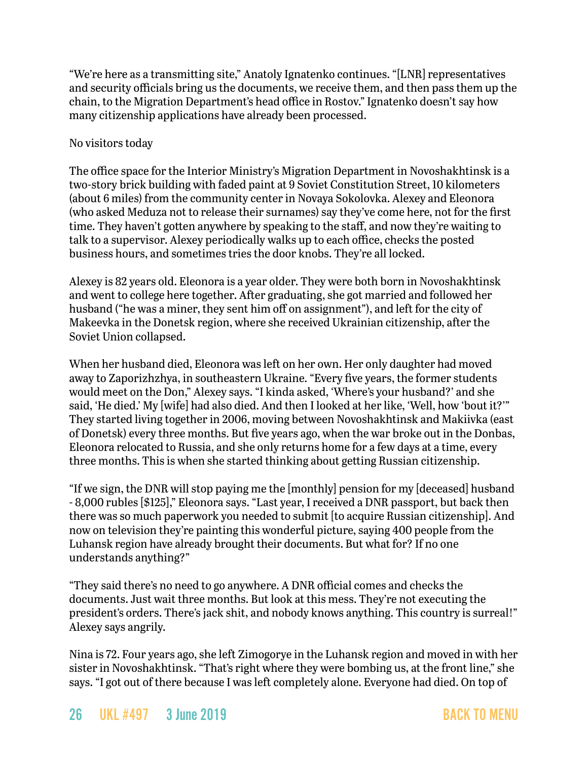"We're here as a transmitting site," Anatoly Ignatenko continues. "[LNR] representatives and security officials bring us the documents, we receive them, and then pass them up the chain, to the Migration Department's head office in Rostov." Ignatenko doesn't say how many citizenship applications have already been processed.

#### No visitors today

The office space for the Interior Ministry's Migration Department in Novoshakhtinsk is a two-story brick building with faded paint at 9 Soviet Constitution Street, 10 kilometers (about 6 miles) from the community center in Novaya Sokolovka. Alexey and Eleonora (who asked Meduza not to release their surnames) say they've come here, not for the first time. They haven't gotten anywhere by speaking to the staff, and now they're waiting to talk to a supervisor. Alexey periodically walks up to each office, checks the posted business hours, and sometimes tries the door knobs. They're all locked.

Alexey is 82 years old. Eleonora is a year older. They were both born in Novoshakhtinsk and went to college here together. After graduating, she got married and followed her husband ("he was a miner, they sent him off on assignment"), and left for the city of Makeevka in the Donetsk region, where she received Ukrainian citizenship, after the Soviet Union collapsed.

When her husband died, Eleonora was left on her own. Her only daughter had moved away to Zaporizhzhya, in southeastern Ukraine. "Every five years, the former students would meet on the Don," Alexey says. "I kinda asked, 'Where's your husband?' and she said, 'He died.' My [wife] had also died. And then I looked at her like, 'Well, how 'bout it?'" They started living together in 2006, moving between Novoshakhtinsk and Makiivka (east of Donetsk) every three months. But five years ago, when the war broke out in the Donbas, Eleonora relocated to Russia, and she only returns home for a few days at a time, every three months. This is when she started thinking about getting Russian citizenship.

"If we sign, the DNR will stop paying me the [monthly] pension for my [deceased] husband - 8,000 rubles [\$125]," Eleonora says. "Last year, I received a DNR passport, but back then there was so much paperwork you needed to submit [to acquire Russian citizenship]. And now on television they're painting this wonderful picture, saying 400 people from the Luhansk region have already brought their documents. But what for? If no one understands anything?"

"They said there's no need to go anywhere. A DNR official comes and checks the documents. Just wait three months. But look at this mess. They're not executing the president's orders. There's jack shit, and nobody knows anything. This country is surreal!" Alexey says angrily.

Nina is 72. Four years ago, she left Zimogorye in the Luhansk region and moved in with her sister in Novoshakhtinsk. "That's right where they were bombing us, at the front line," she says. "I got out of there because I was left completely alone. Everyone had died. On top of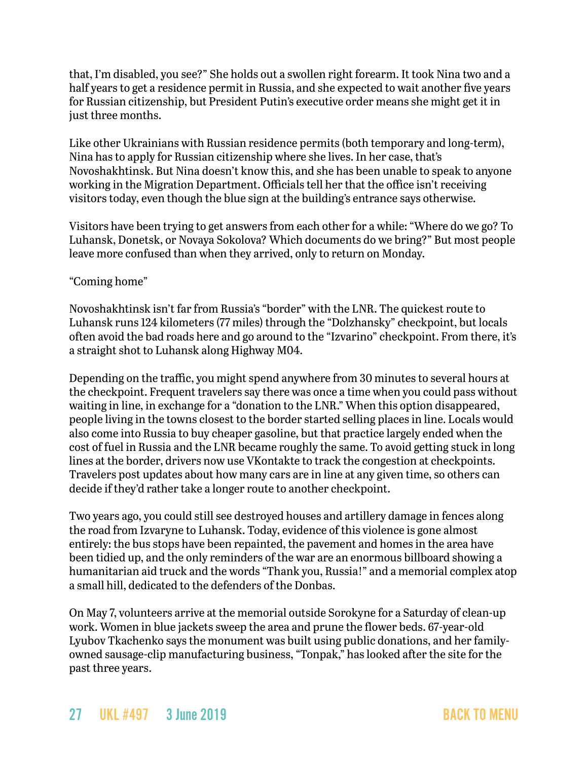that, I'm disabled, you see?" She holds out a swollen right forearm. It took Nina two and a half years to get a residence permit in Russia, and she expected to wait another five years for Russian citizenship, but President Putin's executive order means she might get it in just three months.

Like other Ukrainians with Russian residence permits (both temporary and long-term), Nina has to apply for Russian citizenship where she lives. In her case, that's Novoshakhtinsk. But Nina doesn't know this, and she has been unable to speak to anyone working in the Migration Department. Officials tell her that the office isn't receiving visitors today, even though the blue sign at the building's entrance says otherwise.

Visitors have been trying to get answers from each other for a while: "Where do we go? To Luhansk, Donetsk, or Novaya Sokolova? Which documents do we bring?" But most people leave more confused than when they arrived, only to return on Monday.

#### "Coming home"

Novoshakhtinsk isn't far from Russia's "border" with the LNR. The quickest route to Luhansk runs 124 kilometers (77 miles) through the "Dolzhansky" checkpoint, but locals often avoid the bad roads here and go around to the "Izvarino" checkpoint. From there, it's a straight shot to Luhansk along Highway M04.

Depending on the traffic, you might spend anywhere from 30 minutes to several hours at the checkpoint. Frequent travelers say there was once a time when you could pass without waiting in line, in exchange for a "donation to the LNR." When this option disappeared, people living in the towns closest to the border started selling places in line. Locals would also come into Russia to buy cheaper gasoline, but that practice largely ended when the cost of fuel in Russia and the LNR became roughly the same. To avoid getting stuck in long lines at the border, drivers now use VKontakte to track the congestion at checkpoints. Travelers post updates about how many cars are in line at any given time, so others can decide if they'd rather take a longer route to another checkpoint.

Two years ago, you could still see destroyed houses and artillery damage in fences along the road from Izvaryne to Luhansk. Today, evidence of this violence is gone almost entirely: the bus stops have been repainted, the pavement and homes in the area have been tidied up, and the only reminders of the war are an enormous billboard showing a humanitarian aid truck and the words "Thank you, Russia!" and a memorial complex atop a small hill, dedicated to the defenders of the Donbas.

On May 7, volunteers arrive at the memorial outside Sorokyne for a Saturday of clean-up work. Women in blue jackets sweep the area and prune the flower beds. 67-year-old Lyubov Tkachenko says the monument was built using public donations, and her familyowned sausage-clip manufacturing business, "Tonpak," has looked after the site for the past three years.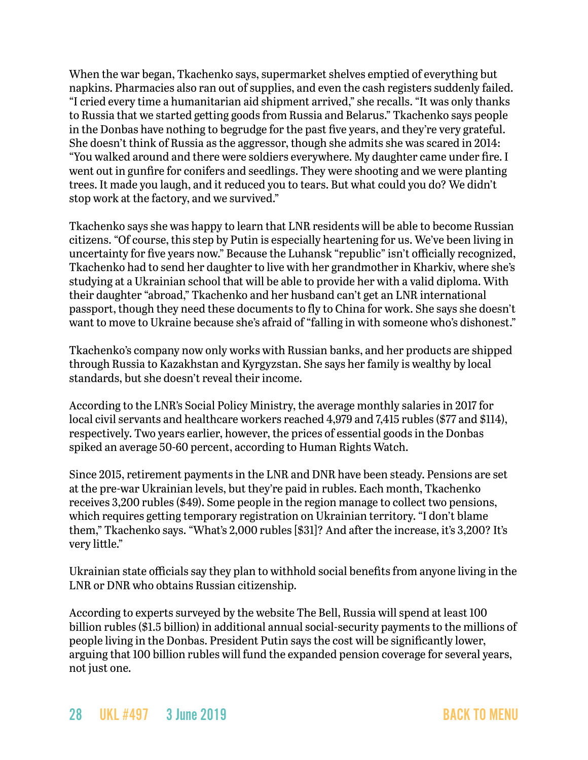When the war began, Tkachenko says, supermarket shelves emptied of everything but napkins. Pharmacies also ran out of supplies, and even the cash registers suddenly failed. "I cried every time a humanitarian aid shipment arrived," she recalls. "It was only thanks to Russia that we started getting goods from Russia and Belarus." Tkachenko says people in the Donbas have nothing to begrudge for the past five years, and they're very grateful. She doesn't think of Russia as the aggressor, though she admits she was scared in 2014: "You walked around and there were soldiers everywhere. My daughter came under fire. I went out in gunfire for conifers and seedlings. They were shooting and we were planting trees. It made you laugh, and it reduced you to tears. But what could you do? We didn't stop work at the factory, and we survived."

Tkachenko says she was happy to learn that LNR residents will be able to become Russian citizens. "Of course, this step by Putin is especially heartening for us. We've been living in uncertainty for five years now." Because the Luhansk "republic" isn't officially recognized, Tkachenko had to send her daughter to live with her grandmother in Kharkiv, where she's studying at a Ukrainian school that will be able to provide her with a valid diploma. With their daughter "abroad," Tkachenko and her husband can't get an LNR international passport, though they need these documents to fly to China for work. She says she doesn't want to move to Ukraine because she's afraid of "falling in with someone who's dishonest."

Tkachenko's company now only works with Russian banks, and her products are shipped through Russia to Kazakhstan and Kyrgyzstan. She says her family is wealthy by local standards, but she doesn't reveal their income.

According to the LNR's Social Policy Ministry, the average monthly salaries in 2017 for local civil servants and healthcare workers reached 4,979 and 7,415 rubles (\$77 and \$114), respectively. Two years earlier, however, the prices of essential goods in the Donbas spiked an average 50-60 percent, according to Human Rights Watch.

Since 2015, retirement payments in the LNR and DNR have been steady. Pensions are set at the pre-war Ukrainian levels, but they're paid in rubles. Each month, Tkachenko receives 3,200 rubles (\$49). Some people in the region manage to collect two pensions, which requires getting temporary registration on Ukrainian territory. "I don't blame them," Tkachenko says. "What's 2,000 rubles [\$31]? And after the increase, it's 3,200? It's very little."

Ukrainian state officials say they plan to withhold social benefits from anyone living in the LNR or DNR who obtains Russian citizenship.

According to experts surveyed by the website The Bell, Russia will spend at least 100 billion rubles (\$1.5 billion) in additional annual social-security payments to the millions of people living in the Donbas. President Putin says the cost will be significantly lower, arguing that 100 billion rubles will fund the expanded pension coverage for several years, not just one.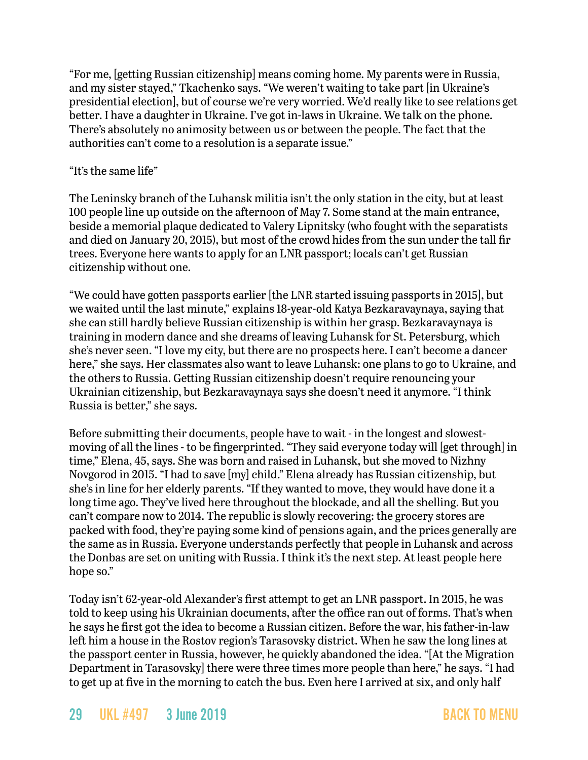"For me, [getting Russian citizenship] means coming home. My parents were in Russia, and my sister stayed," Tkachenko says. "We weren't waiting to take part [in Ukraine's presidential election], but of course we're very worried. We'd really like to see relations get better. I have a daughter in Ukraine. I've got in-laws in Ukraine. We talk on the phone. There's absolutely no animosity between us or between the people. The fact that the authorities can't come to a resolution is a separate issue."

#### "It's the same life"

The Leninsky branch of the Luhansk militia isn't the only station in the city, but at least 100 people line up outside on the afternoon of May 7. Some stand at the main entrance, beside a memorial plaque dedicated to Valery Lipnitsky (who fought with the separatists and died on January 20, 2015), but most of the crowd hides from the sun under the tall fir trees. Everyone here wants to apply for an LNR passport; locals can't get Russian citizenship without one.

"We could have gotten passports earlier [the LNR started issuing passports in 2015], but we waited until the last minute," explains 18-year-old Katya Bezkaravaynaya, saying that she can still hardly believe Russian citizenship is within her grasp. Bezkaravaynaya is training in modern dance and she dreams of leaving Luhansk for St. Petersburg, which she's never seen. "I love my city, but there are no prospects here. I can't become a dancer here," she says. Her classmates also want to leave Luhansk: one plans to go to Ukraine, and the others to Russia. Getting Russian citizenship doesn't require renouncing your Ukrainian citizenship, but Bezkaravaynaya says she doesn't need it anymore. "I think Russia is better," she says.

Before submitting their documents, people have to wait - in the longest and slowestmoving of all the lines - to be fingerprinted. "They said everyone today will [get through] in time," Elena, 45, says. She was born and raised in Luhansk, but she moved to Nizhny Novgorod in 2015. "I had to save [my] child." Elena already has Russian citizenship, but she's in line for her elderly parents. "If they wanted to move, they would have done it a long time ago. They've lived here throughout the blockade, and all the shelling. But you can't compare now to 2014. The republic is slowly recovering: the grocery stores are packed with food, they're paying some kind of pensions again, and the prices generally are the same as in Russia. Everyone understands perfectly that people in Luhansk and across the Donbas are set on uniting with Russia. I think it's the next step. At least people here hope so."

Today isn't 62-year-old Alexander's first attempt to get an LNR passport. In 2015, he was told to keep using his Ukrainian documents, after the office ran out of forms. That's when he says he first got the idea to become a Russian citizen. Before the war, his father-in-law left him a house in the Rostov region's Tarasovsky district. When he saw the long lines at the passport center in Russia, however, he quickly abandoned the idea. "[At the Migration Department in Tarasovsky] there were three times more people than here," he says. "I had to get up at five in the morning to catch the bus. Even here I arrived at six, and only half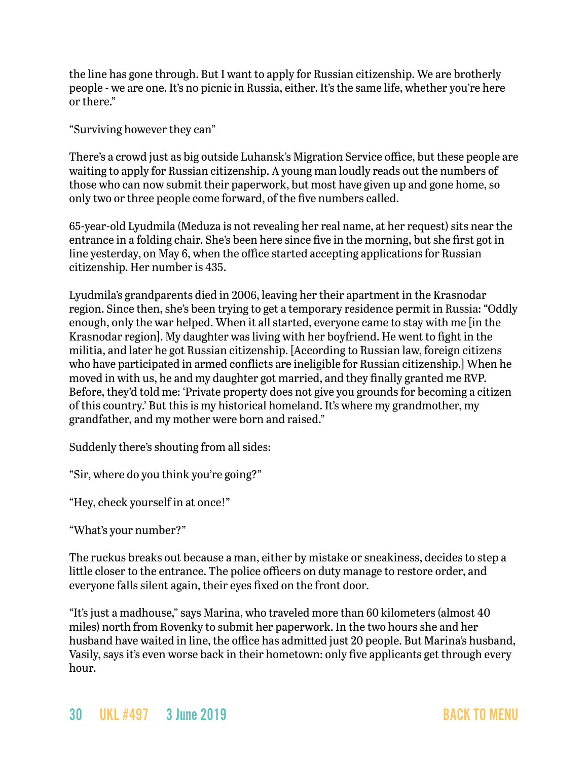the line has gone through. But I want to apply for Russian citizenship. We are brotherly people - we are one. It's no picnic in Russia, either. It's the same life, whether you're here or there."

"Surviving however they can"

There's a crowd just as big outside Luhansk's Migration Service office, but these people are waiting to apply for Russian citizenship. A young man loudly reads out the numbers of those who can now submit their paperwork, but most have given up and gone home, so only two or three people come forward, of the five numbers called.

65-year-old Lyudmila (Meduza is not revealing her real name, at her request) sits near the entrance in a folding chair. She's been here since five in the morning, but she first got in line yesterday, on May 6, when the office started accepting applications for Russian citizenship. Her number is 435.

Lyudmila's grandparents died in 2006, leaving her their apartment in the Krasnodar region. Since then, she's been trying to get a temporary residence permit in Russia: "Oddly enough, only the war helped. When it all started, everyone came to stay with me [in the Krasnodar region]. My daughter was living with her boyfriend. He went to fight in the militia, and later he got Russian citizenship. [According to Russian law, foreign citizens who have participated in armed conflicts are ineligible for Russian citizenship.] When he moved in with us, he and my daughter got married, and they finally granted me RVP. Before, they'd told me: 'Private property does not give you grounds for becoming a citizen of this country.' But this is my historical homeland. It's where my grandmother, my grandfather, and my mother were born and raised."

Suddenly there's shouting from all sides:

"Sir, where do you think you're going?"

"Hey, check yourself in at once!"

"What's your number?"

The ruckus breaks out because a man, either by mistake or sneakiness, decides to step a little closer to the entrance. The police officers on duty manage to restore order, and everyone falls silent again, their eyes fixed on the front door.

"It's just a madhouse," says Marina, who traveled more than 60 kilometers (almost 40 miles) north from Rovenky to submit her paperwork. In the two hours she and her husband have waited in line, the office has admitted just 20 people. But Marina's husband, Vasily, says it's even worse back in their hometown: only five applicants get through every hour.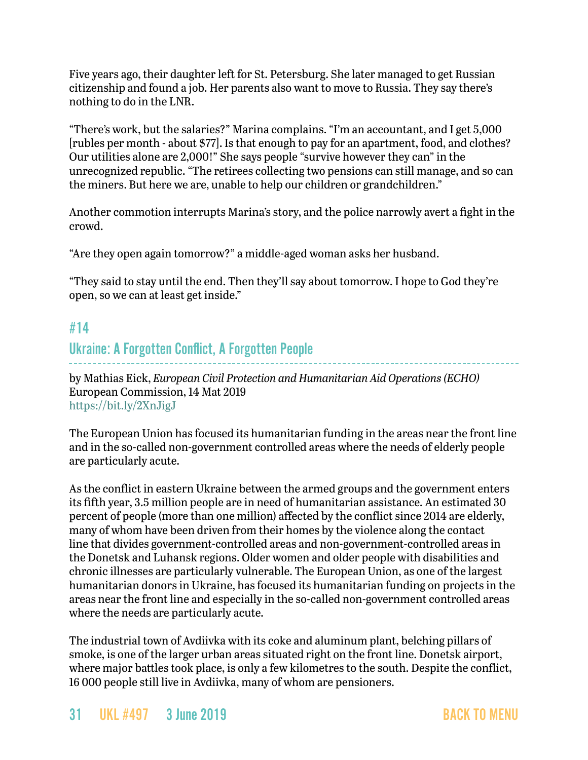Five years ago, their daughter left for St. Petersburg. She later managed to get Russian citizenship and found a job. Her parents also want to move to Russia. They say there's nothing to do in the LNR.

"There's work, but the salaries?" Marina complains. "I'm an accountant, and I get 5,000 [rubles per month - about \$77]. Is that enough to pay for an apartment, food, and clothes? Our utilities alone are 2,000!" She says people "survive however they can" in the unrecognized republic. "The retirees collecting two pensions can still manage, and so can the miners. But here we are, unable to help our children or grandchildren."

Another commotion interrupts Marina's story, and the police narrowly avert a fight in the crowd.

"Are they open again tomorrow?" a middle-aged woman asks her husband.

"They said to stay until the end. Then they'll say about tomorrow. I hope to God they're open, so we can at least get inside."

# <span id="page-30-0"></span>#14 Ukraine: A Forgotten Conflict, A Forgotten People

by Mathias Eick, *European Civil Protection and Humanitarian Aid Operations (ECHO)* European Commission, 14 Mat 2019 <https://bit.ly/2XnJigJ>

The European Union has focused its humanitarian funding in the areas near the front line and in the so-called non-government controlled areas where the needs of elderly people are particularly acute.

As the conflict in eastern Ukraine between the armed groups and the government enters its fifth year, 3.5 million people are in need of humanitarian assistance. An estimated 30 percent of people (more than one million) affected by the conflict since 2014 are elderly, many of whom have been driven from their homes by the violence along the contact line that divides government-controlled areas and non-government-controlled areas in the Donetsk and Luhansk regions. Older women and older people with disabilities and chronic illnesses are particularly vulnerable. The European Union, as one of the largest humanitarian donors in Ukraine, has focused its humanitarian funding on projects in the areas near the front line and especially in the so-called non-government controlled areas where the needs are particularly acute.

The industrial town of Avdiivka with its coke and aluminum plant, belching pillars of smoke, is one of the larger urban areas situated right on the front line. Donetsk airport, where major battles took place, is only a few kilometres to the south. Despite the conflict, 16 000 people still live in Avdiivka, many of whom are pensioners.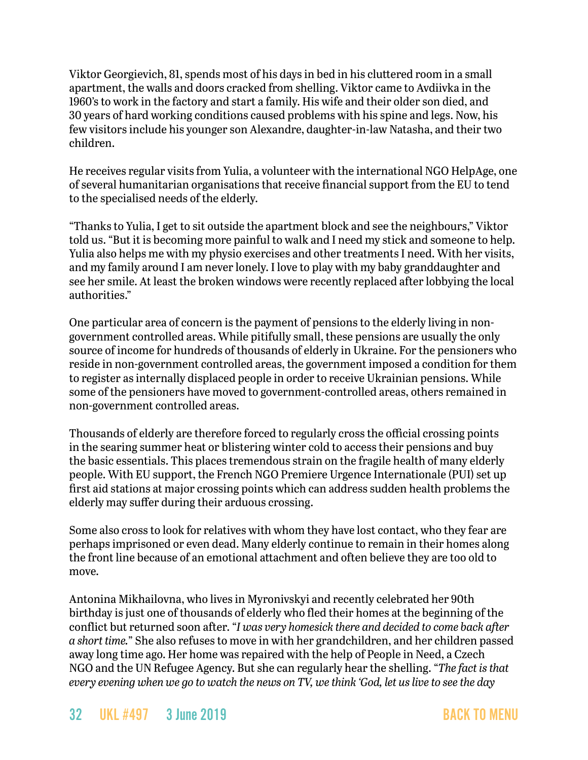Viktor Georgievich, 81, spends most of his days in bed in his cluttered room in a small apartment, the walls and doors cracked from shelling. Viktor came to Avdiivka in the 1960's to work in the factory and start a family. His wife and their older son died, and 30 years of hard working conditions caused problems with his spine and legs. Now, his few visitors include his younger son Alexandre, daughter-in-law Natasha, and their two children.

He receives regular visits from Yulia, a volunteer with the international NGO HelpAge, one of several humanitarian organisations that receive financial support from the EU to tend to the specialised needs of the elderly.

"Thanks to Yulia, I get to sit outside the apartment block and see the neighbours," Viktor told us. "But it is becoming more painful to walk and I need my stick and someone to help. Yulia also helps me with my physio exercises and other treatments I need. With her visits, and my family around I am never lonely. I love to play with my baby granddaughter and see her smile. At least the broken windows were recently replaced after lobbying the local authorities."

One particular area of concern is the payment of pensions to the elderly living in nongovernment controlled areas. While pitifully small, these pensions are usually the only source of income for hundreds of thousands of elderly in Ukraine. For the pensioners who reside in non-government controlled areas, the government imposed a condition for them to register as internally displaced people in order to receive Ukrainian pensions. While some of the pensioners have moved to government-controlled areas, others remained in non-government controlled areas.

Thousands of elderly are therefore forced to regularly cross the official crossing points in the searing summer heat or blistering winter cold to access their pensions and buy the basic essentials. This places tremendous strain on the fragile health of many elderly people. With EU support, the French NGO Premiere Urgence Internationale (PUI) set up first aid stations at major crossing points which can address sudden health problems the elderly may suffer during their arduous crossing.

Some also cross to look for relatives with whom they have lost contact, who they fear are perhaps imprisoned or even dead. Many elderly continue to remain in their homes along the front line because of an emotional attachment and often believe they are too old to move.

Antonina Mikhailovna, who lives in Myronivskyi and recently celebrated her 90th birthday is just one of thousands of elderly who fled their homes at the beginning of the conflict but returned soon after. "*I was very homesick there and decided to come back after a short time.*" She also refuses to move in with her grandchildren, and her children passed away long time ago. Her home was repaired with the help of People in Need, a Czech NGO and the UN Refugee Agency. But she can regularly hear the shelling. "*The fact is that every evening when we go to watch the news on TV, we think 'God, let us live to see the day*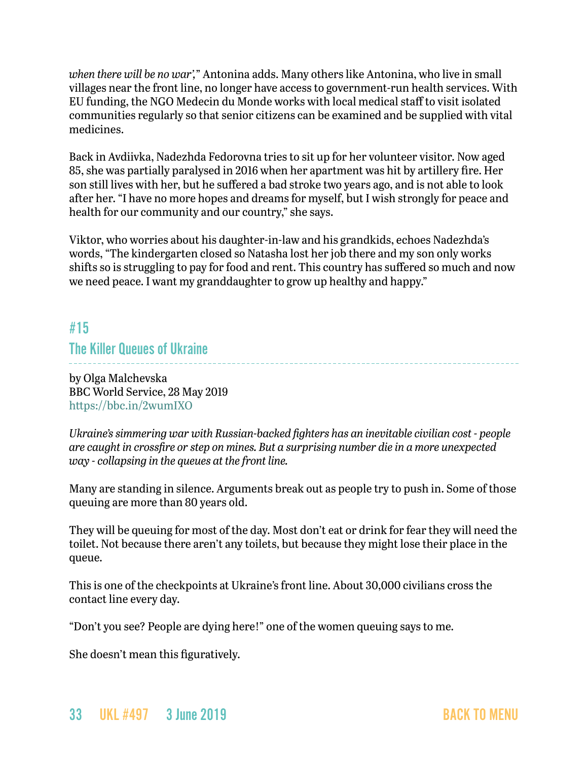*when there will be no war',*" Antonina adds. Many others like Antonina, who live in small villages near the front line, no longer have access to government-run health services. With EU funding, the NGO Medecin du Monde works with local medical staff to visit isolated communities regularly so that senior citizens can be examined and be supplied with vital medicines.

Back in Avdiivka, Nadezhda Fedorovna tries to sit up for her volunteer visitor. Now aged 85, she was partially paralysed in 2016 when her apartment was hit by artillery fire. Her son still lives with her, but he suffered a bad stroke two years ago, and is not able to look after her. "I have no more hopes and dreams for myself, but I wish strongly for peace and health for our community and our country," she says.

Viktor, who worries about his daughter-in-law and his grandkids, echoes Nadezhda's words, "The kindergarten closed so Natasha lost her job there and my son only works shifts so is struggling to pay for food and rent. This country has suffered so much and now we need peace. I want my granddaughter to grow up healthy and happy."

# <span id="page-32-0"></span>#15 The Killer Queues of Ukraine

by Olga Malchevska BBC World Service, 28 May 2019 <https://bbc.in/2wumIXO>

*Ukraine's simmering war with Russian-backed fighters has an inevitable civilian cost - people are caught in crossfire or step on mines. But a surprising number die in a more unexpected way - collapsing in the queues at the front line.*

Many are standing in silence. Arguments break out as people try to push in. Some of those queuing are more than 80 years old.

They will be queuing for most of the day. Most don't eat or drink for fear they will need the toilet. Not because there aren't any toilets, but because they might lose their place in the queue.

This is one of the checkpoints at Ukraine's front line. About 30,000 civilians cross the contact line every day.

"Don't you see? People are dying here!" one of the women queuing says to me.

She doesn't mean this figuratively.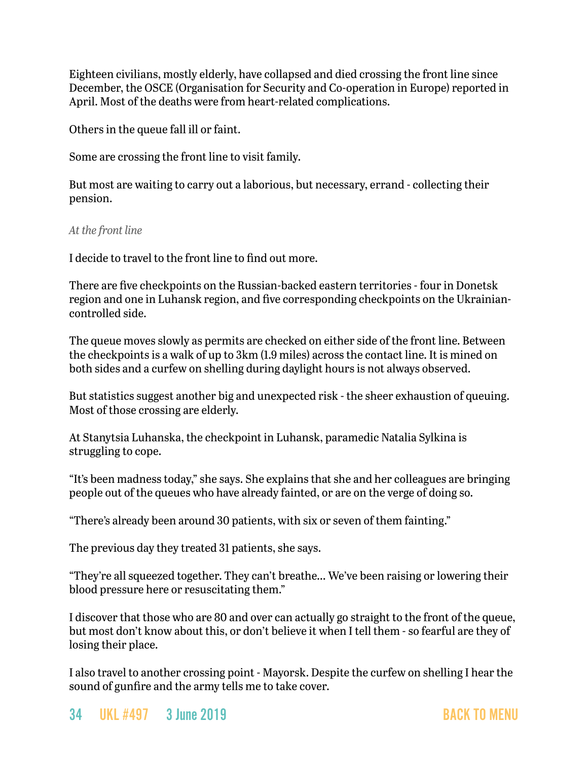Eighteen civilians, mostly elderly, have collapsed and died crossing the front line since December, the OSCE (Organisation for Security and Co-operation in Europe) reported in April. Most of the deaths were from heart-related complications.

Others in the queue fall ill or faint.

Some are crossing the front line to visit family.

But most are waiting to carry out a laborious, but necessary, errand - collecting their pension.

#### *At the front line*

I decide to travel to the front line to find out more.

There are five checkpoints on the Russian-backed eastern territories - four in Donetsk region and one in Luhansk region, and five corresponding checkpoints on the Ukrainiancontrolled side.

The queue moves slowly as permits are checked on either side of the front line. Between the checkpoints is a walk of up to 3km (1.9 miles) across the contact line. It is mined on both sides and a curfew on shelling during daylight hours is not always observed.

But statistics suggest another big and unexpected risk - the sheer exhaustion of queuing. Most of those crossing are elderly.

At Stanytsia Luhanska, the checkpoint in Luhansk, paramedic Natalia Sylkina is struggling to cope.

"It's been madness today," she says. She explains that she and her colleagues are bringing people out of the queues who have already fainted, or are on the verge of doing so.

"There's already been around 30 patients, with six or seven of them fainting."

The previous day they treated 31 patients, she says.

"They're all squeezed together. They can't breathe… We've been raising or lowering their blood pressure here or resuscitating them."

I discover that those who are 80 and over can actually go straight to the front of the queue, but most don't know about this, or don't believe it when I tell them - so fearful are they of losing their place.

I also travel to another crossing point - Mayorsk. Despite the curfew on shelling I hear the sound of gunfire and the army tells me to take cover.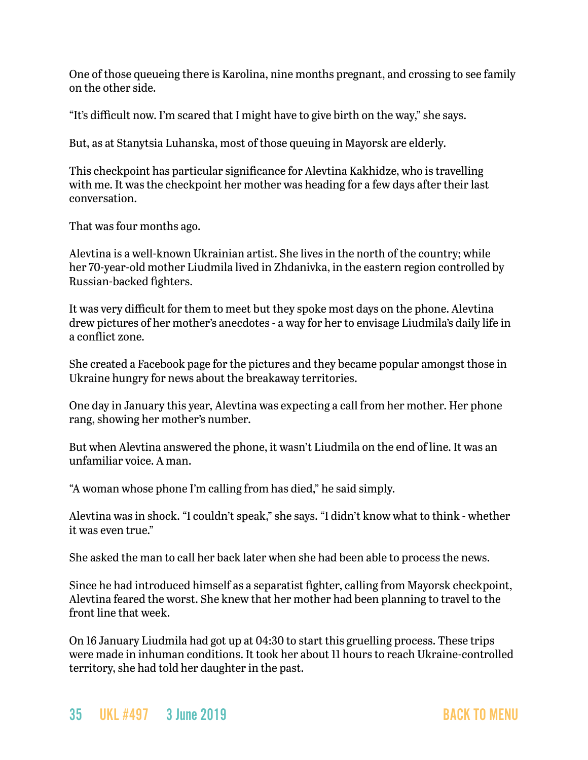One of those queueing there is Karolina, nine months pregnant, and crossing to see family on the other side.

"It's difficult now. I'm scared that I might have to give birth on the way," she says.

But, as at Stanytsia Luhanska, most of those queuing in Mayorsk are elderly.

This checkpoint has particular significance for Alevtina Kakhidze, who is travelling with me. It was the checkpoint her mother was heading for a few days after their last conversation.

That was four months ago.

Alevtina is a well-known Ukrainian artist. She lives in the north of the country; while her 70-year-old mother Liudmila lived in Zhdanivka, in the eastern region controlled by Russian-backed fighters.

It was very difficult for them to meet but they spoke most days on the phone. Alevtina drew pictures of her mother's anecdotes - a way for her to envisage Liudmila's daily life in a conflict zone.

She created a Facebook page for the pictures and they became popular amongst those in Ukraine hungry for news about the breakaway territories.

One day in January this year, Alevtina was expecting a call from her mother. Her phone rang, showing her mother's number.

But when Alevtina answered the phone, it wasn't Liudmila on the end of line. It was an unfamiliar voice. A man.

"A woman whose phone I'm calling from has died," he said simply.

Alevtina was in shock. "I couldn't speak," she says. "I didn't know what to think - whether it was even true."

She asked the man to call her back later when she had been able to process the news.

Since he had introduced himself as a separatist fighter, calling from Mayorsk checkpoint, Alevtina feared the worst. She knew that her mother had been planning to travel to the front line that week.

On 16 January Liudmila had got up at 04:30 to start this gruelling process. These trips were made in inhuman conditions. It took her about 11 hours to reach Ukraine-controlled territory, she had told her daughter in the past.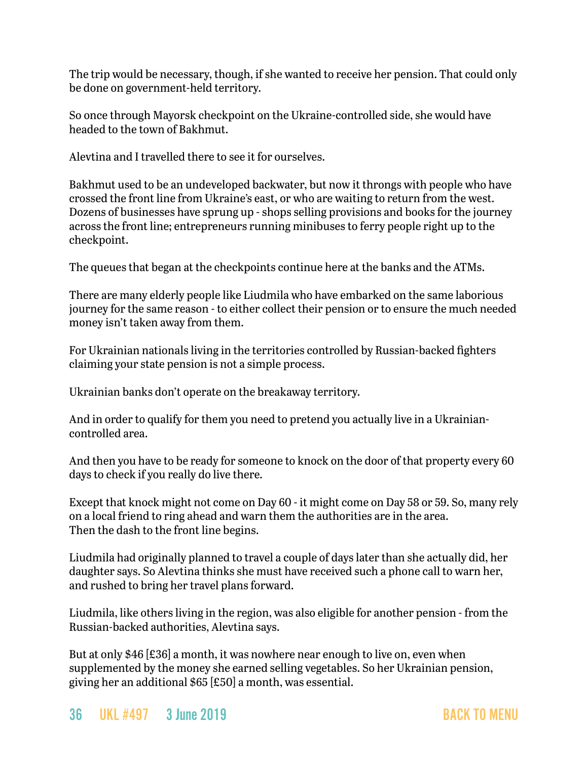The trip would be necessary, though, if she wanted to receive her pension. That could only be done on government-held territory.

So once through Mayorsk checkpoint on the Ukraine-controlled side, she would have headed to the town of Bakhmut.

Alevtina and I travelled there to see it for ourselves.

Bakhmut used to be an undeveloped backwater, but now it throngs with people who have crossed the front line from Ukraine's east, or who are waiting to return from the west. Dozens of businesses have sprung up - shops selling provisions and books for the journey across the front line; entrepreneurs running minibuses to ferry people right up to the checkpoint.

The queues that began at the checkpoints continue here at the banks and the ATMs.

There are many elderly people like Liudmila who have embarked on the same laborious journey for the same reason - to either collect their pension or to ensure the much needed money isn't taken away from them.

For Ukrainian nationals living in the territories controlled by Russian-backed fighters claiming your state pension is not a simple process.

Ukrainian banks don't operate on the breakaway territory.

And in order to qualify for them you need to pretend you actually live in a Ukrainiancontrolled area.

And then you have to be ready for someone to knock on the door of that property every 60 days to check if you really do live there.

Except that knock might not come on Day 60 - it might come on Day 58 or 59. So, many rely on a local friend to ring ahead and warn them the authorities are in the area. Then the dash to the front line begins.

Liudmila had originally planned to travel a couple of days later than she actually did, her daughter says. So Alevtina thinks she must have received such a phone call to warn her, and rushed to bring her travel plans forward.

Liudmila, like others living in the region, was also eligible for another pension - from the Russian-backed authorities, Alevtina says.

But at only \$46 [£36] a month, it was nowhere near enough to live on, even when supplemented by the money she earned selling vegetables. So her Ukrainian pension, giving her an additional \$65 [£50] a month, was essential.

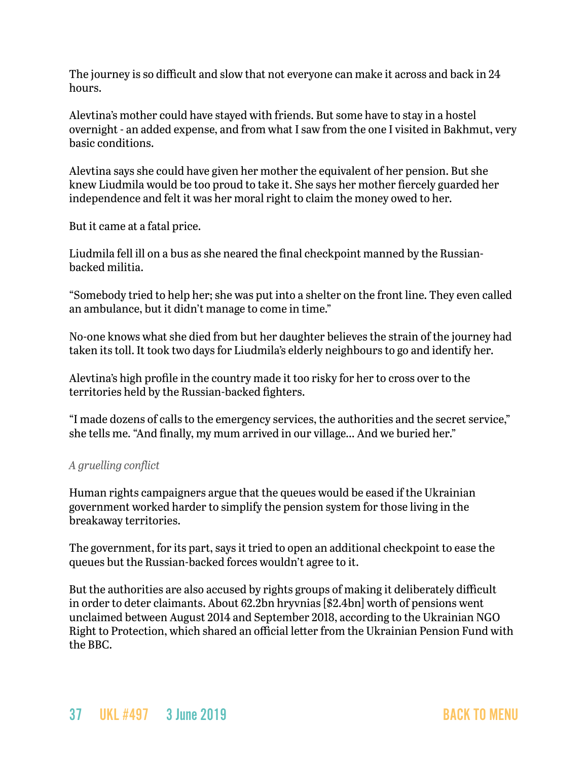The journey is so difficult and slow that not everyone can make it across and back in 24 hours.

Alevtina's mother could have stayed with friends. But some have to stay in a hostel overnight - an added expense, and from what I saw from the one I visited in Bakhmut, very basic conditions.

Alevtina says she could have given her mother the equivalent of her pension. But she knew Liudmila would be too proud to take it. She says her mother fiercely guarded her independence and felt it was her moral right to claim the money owed to her.

But it came at a fatal price.

Liudmila fell ill on a bus as she neared the final checkpoint manned by the Russianbacked militia.

"Somebody tried to help her; she was put into a shelter on the front line. They even called an ambulance, but it didn't manage to come in time."

No-one knows what she died from but her daughter believes the strain of the journey had taken its toll. It took two days for Liudmila's elderly neighbours to go and identify her.

Alevtina's high profile in the country made it too risky for her to cross over to the territories held by the Russian-backed fighters.

"I made dozens of calls to the emergency services, the authorities and the secret service," she tells me. "And finally, my mum arrived in our village… And we buried her."

#### *A gruelling conflict*

Human rights campaigners argue that the queues would be eased if the Ukrainian government worked harder to simplify the pension system for those living in the breakaway territories.

The government, for its part, says it tried to open an additional checkpoint to ease the queues but the Russian-backed forces wouldn't agree to it.

But the authorities are also accused by rights groups of making it deliberately difficult in order to deter claimants. About 62.2bn hryvnias [\$2.4bn] worth of pensions went unclaimed between August 2014 and September 2018, according to the Ukrainian NGO Right to Protection, which shared an official letter from the Ukrainian Pension Fund with the BBC.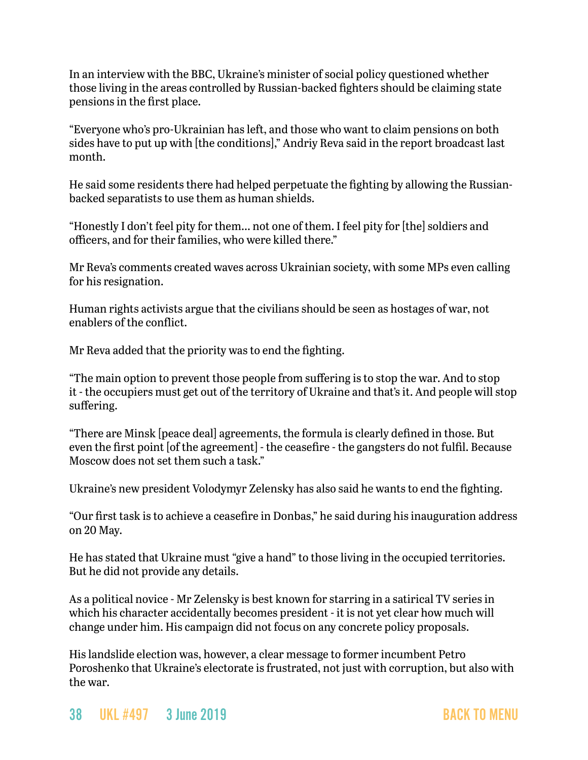In an interview with the BBC, Ukraine's minister of social policy questioned whether those living in the areas controlled by Russian-backed fighters should be claiming state pensions in the first place.

"Everyone who's pro-Ukrainian has left, and those who want to claim pensions on both sides have to put up with [the conditions]," Andriy Reva said in the report broadcast last month.

He said some residents there had helped perpetuate the fighting by allowing the Russianbacked separatists to use them as human shields.

"Honestly I don't feel pity for them... not one of them. I feel pity for [the] soldiers and officers, and for their families, who were killed there."

Mr Reva's comments created waves across Ukrainian society, with some MPs even calling for his resignation.

Human rights activists argue that the civilians should be seen as hostages of war, not enablers of the conflict.

Mr Reva added that the priority was to end the fighting.

"The main option to prevent those people from suffering is to stop the war. And to stop it - the occupiers must get out of the territory of Ukraine and that's it. And people will stop suffering.

"There are Minsk [peace deal] agreements, the formula is clearly defined in those. But even the first point [of the agreement] - the ceasefire - the gangsters do not fulfil. Because Moscow does not set them such a task."

Ukraine's new president Volodymyr Zelensky has also said he wants to end the fighting.

"Our first task is to achieve a ceasefire in Donbas," he said during his inauguration address on 20 May.

He has stated that Ukraine must "give a hand" to those living in the occupied territories. But he did not provide any details.

As a political novice - Mr Zelensky is best known for starring in a satirical TV series in which his character accidentally becomes president - it is not yet clear how much will change under him. His campaign did not focus on any concrete policy proposals.

His landslide election was, however, a clear message to former incumbent Petro Poroshenko that Ukraine's electorate is frustrated, not just with corruption, but also with the war.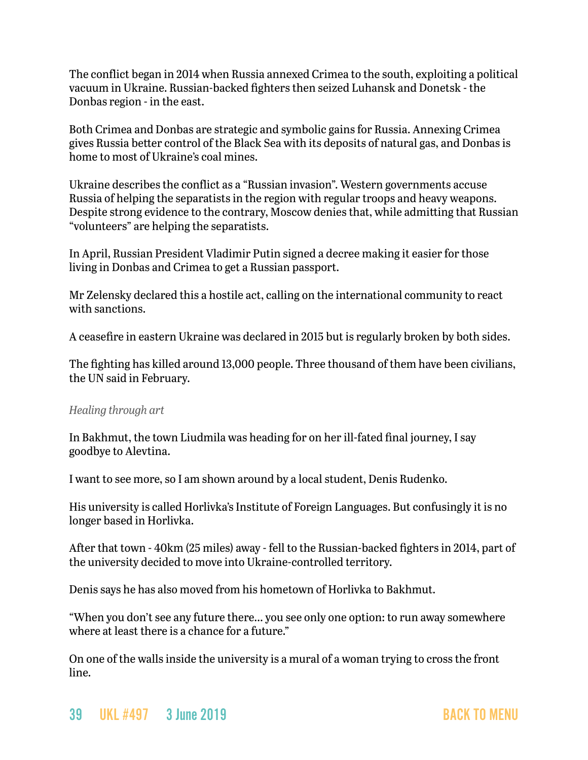The conflict began in 2014 when Russia annexed Crimea to the south, exploiting a political vacuum in Ukraine. Russian-backed fighters then seized Luhansk and Donetsk - the Donbas region - in the east.

Both Crimea and Donbas are strategic and symbolic gains for Russia. Annexing Crimea gives Russia better control of the Black Sea with its deposits of natural gas, and Donbas is home to most of Ukraine's coal mines.

Ukraine describes the conflict as a "Russian invasion". Western governments accuse Russia of helping the separatists in the region with regular troops and heavy weapons. Despite strong evidence to the contrary, Moscow denies that, while admitting that Russian "volunteers" are helping the separatists.

In April, Russian President Vladimir Putin signed a decree making it easier for those living in Donbas and Crimea to get a Russian passport.

Mr Zelensky declared this a hostile act, calling on the international community to react with sanctions.

A ceasefire in eastern Ukraine was declared in 2015 but is regularly broken by both sides.

The fighting has killed around 13,000 people. Three thousand of them have been civilians, the UN said in February.

#### *Healing through art*

In Bakhmut, the town Liudmila was heading for on her ill-fated final journey, I say goodbye to Alevtina.

I want to see more, so I am shown around by a local student, Denis Rudenko.

His university is called Horlivka's Institute of Foreign Languages. But confusingly it is no longer based in Horlivka.

After that town - 40km (25 miles) away - fell to the Russian-backed fighters in 2014, part of the university decided to move into Ukraine-controlled territory.

Denis says he has also moved from his hometown of Horlivka to Bakhmut.

"When you don't see any future there… you see only one option: to run away somewhere where at least there is a chance for a future."

On one of the walls inside the university is a mural of a woman trying to cross the front line.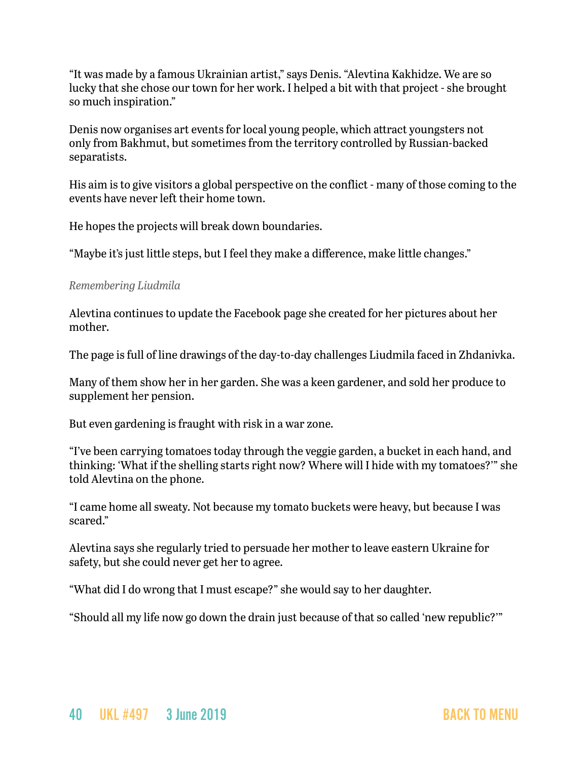"It was made by a famous Ukrainian artist," says Denis. "Alevtina Kakhidze. We are so lucky that she chose our town for her work. I helped a bit with that project - she brought so much inspiration."

Denis now organises art events for local young people, which attract youngsters not only from Bakhmut, but sometimes from the territory controlled by Russian-backed separatists.

His aim is to give visitors a global perspective on the conflict - many of those coming to the events have never left their home town.

He hopes the projects will break down boundaries.

"Maybe it's just little steps, but I feel they make a difference, make little changes."

#### *Remembering Liudmila*

Alevtina continues to update the Facebook page she created for her pictures about her mother.

The page is full of line drawings of the day-to-day challenges Liudmila faced in Zhdanivka.

Many of them show her in her garden. She was a keen gardener, and sold her produce to supplement her pension.

But even gardening is fraught with risk in a war zone.

"I've been carrying tomatoes today through the veggie garden, a bucket in each hand, and thinking: 'What if the shelling starts right now? Where will I hide with my tomatoes?'" she told Alevtina on the phone.

"I came home all sweaty. Not because my tomato buckets were heavy, but because I was scared."

Alevtina says she regularly tried to persuade her mother to leave eastern Ukraine for safety, but she could never get her to agree.

"What did I do wrong that I must escape?" she would say to her daughter.

"Should all my life now go down the drain just because of that so called 'new republic?'"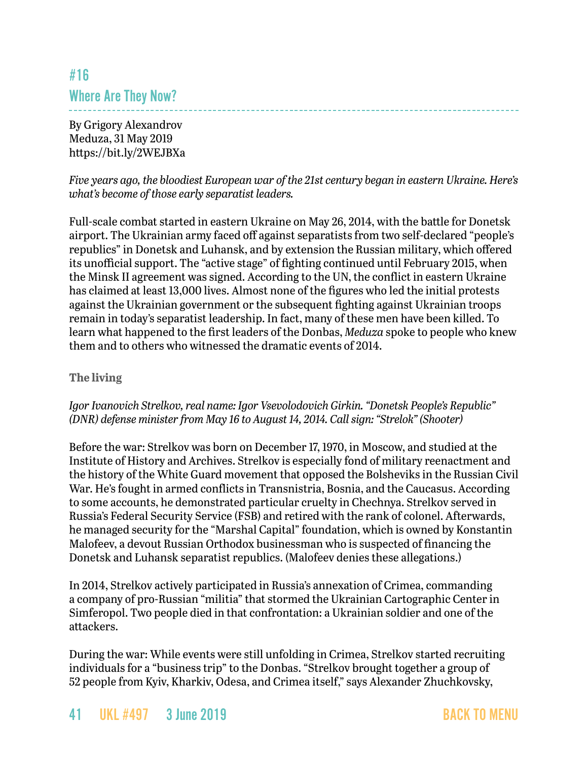# <span id="page-40-0"></span>#16 Where Are They Now?

By Grigory Alexandrov Meduza, 31 May 2019 https://bit.ly/2WEJBXa

*Five years ago, the bloodiest European war of the 21st century began in eastern Ukraine. Here's what's become of those early separatist leaders.*

Full-scale combat started in eastern Ukraine on May 26, 2014, with the battle for Donetsk airport. The Ukrainian army faced off against separatists from two self-declared "people's republics" in Donetsk and Luhansk, and by extension the Russian military, which offered its unofficial support. The "active stage" of fighting continued until February 2015, when the Minsk II agreement was signed. According to the UN, the conflict in eastern Ukraine has claimed at least 13,000 lives. Almost none of the figures who led the initial protests against the Ukrainian government or the subsequent fighting against Ukrainian troops remain in today's separatist leadership. In fact, many of these men have been killed. To learn what happened to the first leaders of the Donbas, *Meduza* spoke to people who knew them and to others who witnessed the dramatic events of 2014.

#### **The living**

#### *Igor Ivanovich Strelkov, real name: Igor Vsevolodovich Girkin. "Donetsk People's Republic" (DNR) defense minister from May 16 to August 14, 2014. Call sign: "Strelok" (Shooter)*

Before the war: Strelkov was born on December 17, 1970, in Moscow, and studied at the Institute of History and Archives. Strelkov is especially fond of military reenactment and the history of the White Guard movement that opposed the Bolsheviks in the Russian Civil War. He's fought in armed conflicts in Transnistria, Bosnia, and the Caucasus. According to some accounts, he demonstrated particular cruelty in Chechnya. Strelkov served in Russia's Federal Security Service (FSB) and retired with the rank of colonel. Afterwards, he managed security for the "Marshal Capital" foundation, which is owned by Konstantin Malofeev, a devout Russian Orthodox businessman who is suspected of financing the Donetsk and Luhansk separatist republics. (Malofeev denies these allegations.)

In 2014, Strelkov actively participated in Russia's annexation of Crimea, commanding a company of pro-Russian "militia" that stormed the Ukrainian Cartographic Center in Simferopol. Two people died in that confrontation: a Ukrainian soldier and one of the attackers.

During the war: While events were still unfolding in Crimea, Strelkov started recruiting individuals for a "business trip" to the Donbas. "Strelkov brought together a group of 52 people from Kyiv, Kharkiv, Odesa, and Crimea itself," says Alexander Zhuchkovsky,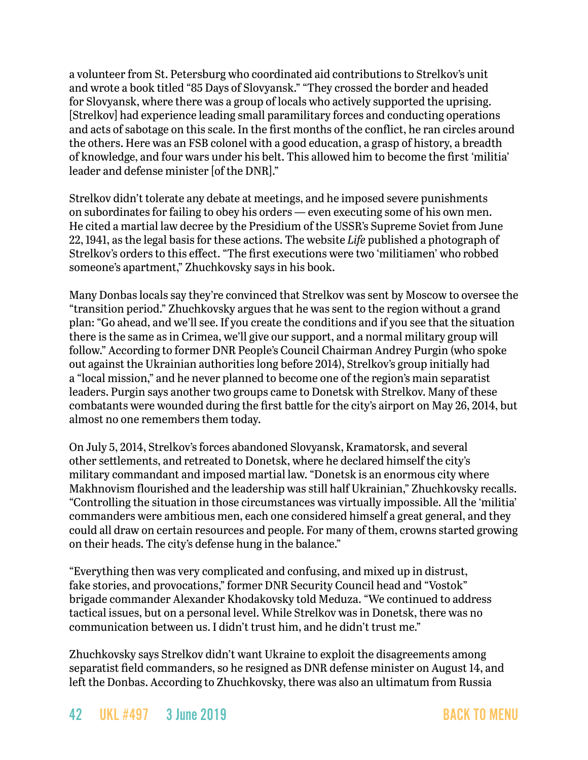a volunteer from St. Petersburg who coordinated aid contributions to Strelkov's unit and wrote a book titled "85 Days of Slovyansk." "They crossed the border and headed for Slovyansk, where there was a group of locals who actively supported the uprising. [Strelkov] had experience leading small paramilitary forces and conducting operations and acts of sabotage on this scale. In the first months of the conflict, he ran circles around the others. Here was an FSB colonel with a good education, a grasp of history, a breadth of knowledge, and four wars under his belt. This allowed him to become the first 'militia' leader and defense minister [of the DNR]."

Strelkov didn't tolerate any debate at meetings, and he imposed severe punishments on subordinates for failing to obey his orders — even executing some of his own men. He cited a martial law decree by the Presidium of the USSR's Supreme Soviet from June 22, 1941, as the legal basis for these actions. The website *Life* published a photograph of Strelkov's orders to this effect. "The first executions were two 'militiamen' who robbed someone's apartment," Zhuchkovsky says in his book.

Many Donbas locals say they're convinced that Strelkov was sent by Moscow to oversee the "transition period." Zhuchkovsky argues that he was sent to the region without a grand plan: "Go ahead, and we'll see. If you create the conditions and if you see that the situation there is the same as in Crimea, we'll give our support, and a normal military group will follow." According to former DNR People's Council Chairman Andrey Purgin (who spoke out against the Ukrainian authorities long before 2014), Strelkov's group initially had a "local mission," and he never planned to become one of the region's main separatist leaders. Purgin says another two groups came to Donetsk with Strelkov. Many of these combatants were wounded during the first battle for the city's airport on May 26, 2014, but almost no one remembers them today.

On July 5, 2014, Strelkov's forces abandoned Slovyansk, Kramatorsk, and several other settlements, and retreated to Donetsk, where he declared himself the city's military commandant and imposed martial law. "Donetsk is an enormous city where Makhnovism flourished and the leadership was still half Ukrainian," Zhuchkovsky recalls. "Controlling the situation in those circumstances was virtually impossible. All the 'militia' commanders were ambitious men, each one considered himself a great general, and they could all draw on certain resources and people. For many of them, crowns started growing on their heads. The city's defense hung in the balance."

"Everything then was very complicated and confusing, and mixed up in distrust, fake stories, and provocations," former DNR Security Council head and "Vostok" brigade commander Alexander Khodakovsky told Meduza. "We continued to address tactical issues, but on a personal level. While Strelkov was in Donetsk, there was no communication between us. I didn't trust him, and he didn't trust me."

Zhuchkovsky says Strelkov didn't want Ukraine to exploit the disagreements among separatist field commanders, so he resigned as DNR defense minister on August 14, and left the Donbas. According to Zhuchkovsky, there was also an ultimatum from Russia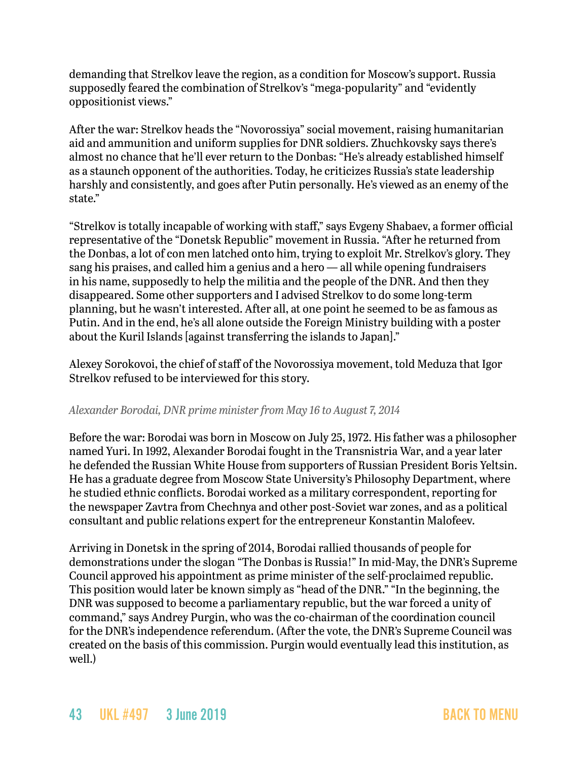demanding that Strelkov leave the region, as a condition for Moscow's support. Russia supposedly feared the combination of Strelkov's "mega-popularity" and "evidently oppositionist views."

After the war: Strelkov heads the "Novorossiya" social movement, raising humanitarian aid and ammunition and uniform supplies for DNR soldiers. Zhuchkovsky says there's almost no chance that he'll ever return to the Donbas: "He's already established himself as a staunch opponent of the authorities. Today, he criticizes Russia's state leadership harshly and consistently, and goes after Putin personally. He's viewed as an enemy of the state"

"Strelkov is totally incapable of working with staff," says Evgeny Shabaev, a former official representative of the "Donetsk Republic" movement in Russia. "After he returned from the Donbas, a lot of con men latched onto him, trying to exploit Mr. Strelkov's glory. They sang his praises, and called him a genius and a hero — all while opening fundraisers in his name, supposedly to help the militia and the people of the DNR. And then they disappeared. Some other supporters and I advised Strelkov to do some long-term planning, but he wasn't interested. After all, at one point he seemed to be as famous as Putin. And in the end, he's all alone outside the Foreign Ministry building with a poster about the Kuril Islands [against transferring the islands to Japan]."

Alexey Sorokovoi, the chief of staff of the Novorossiya movement, told Meduza that Igor Strelkov refused to be interviewed for this story.

#### *Alexander Borodai, DNR prime minister from May 16 to August 7, 2014*

Before the war: Borodai was born in Moscow on July 25, 1972. His father was a philosopher named Yuri. In 1992, Alexander Borodai fought in the Transnistria War, and a year later he defended the Russian White House from supporters of Russian President Boris Yeltsin. He has a graduate degree from Moscow State University's Philosophy Department, where he studied ethnic conflicts. Borodai worked as a military correspondent, reporting for the newspaper Zavtra from Chechnya and other post-Soviet war zones, and as a political consultant and public relations expert for the entrepreneur Konstantin Malofeev.

Arriving in Donetsk in the spring of 2014, Borodai rallied thousands of people for demonstrations under the slogan "The Donbas is Russia!" In mid-May, the DNR's Supreme Council approved his appointment as prime minister of the self-proclaimed republic. This position would later be known simply as "head of the DNR." "In the beginning, the DNR was supposed to become a parliamentary republic, but the war forced a unity of command," says Andrey Purgin, who was the co-chairman of the coordination council for the DNR's independence referendum. (After the vote, the DNR's Supreme Council was created on the basis of this commission. Purgin would eventually lead this institution, as well.)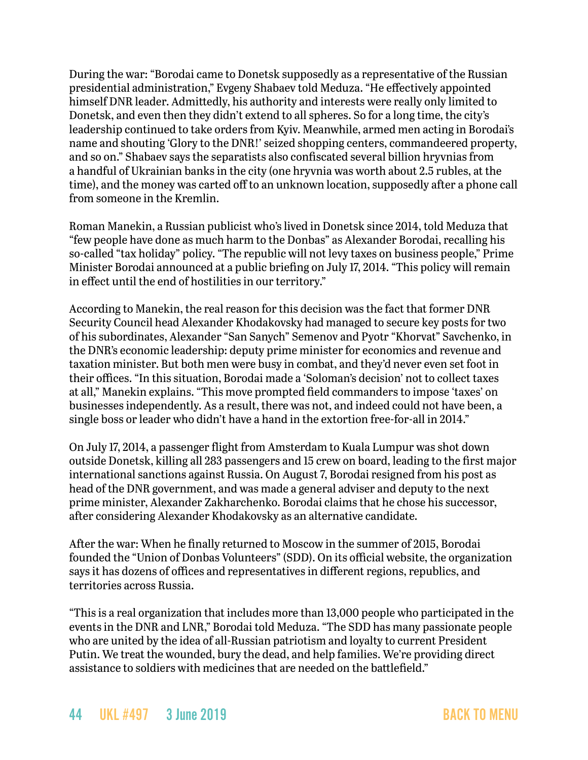During the war: "Borodai came to Donetsk supposedly as a representative of the Russian presidential administration," Evgeny Shabaev told Meduza. "He effectively appointed himself DNR leader. Admittedly, his authority and interests were really only limited to Donetsk, and even then they didn't extend to all spheres. So for a long time, the city's leadership continued to take orders from Kyiv. Meanwhile, armed men acting in Borodai's name and shouting 'Glory to the DNR!' seized shopping centers, commandeered property, and so on." Shabaev says the separatists also confiscated several billion hryvnias from a handful of Ukrainian banks in the city (one hryvnia was worth about 2.5 rubles, at the time), and the money was carted off to an unknown location, supposedly after a phone call from someone in the Kremlin.

Roman Manekin, a Russian publicist who's lived in Donetsk since 2014, told Meduza that "few people have done as much harm to the Donbas" as Alexander Borodai, recalling his so-called "tax holiday" policy. "The republic will not levy taxes on business people," Prime Minister Borodai announced at a public briefing on July 17, 2014. "This policy will remain in effect until the end of hostilities in our territory."

According to Manekin, the real reason for this decision was the fact that former DNR Security Council head Alexander Khodakovsky had managed to secure key posts for two of his subordinates, Alexander "San Sanych" Semenov and Pyotr "Khorvat" Savchenko, in the DNR's economic leadership: deputy prime minister for economics and revenue and taxation minister. But both men were busy in combat, and they'd never even set foot in their offices. "In this situation, Borodai made a 'Soloman's decision' not to collect taxes at all," Manekin explains. "This move prompted field commanders to impose 'taxes' on businesses independently. As a result, there was not, and indeed could not have been, a single boss or leader who didn't have a hand in the extortion free-for-all in 2014."

On July 17, 2014, a passenger flight from Amsterdam to Kuala Lumpur was shot down outside Donetsk, killing all 283 passengers and 15 crew on board, leading to the first major international sanctions against Russia. On August 7, Borodai resigned from his post as head of the DNR government, and was made a general adviser and deputy to the next prime minister, Alexander Zakharchenko. Borodai claims that he chose his successor, after considering Alexander Khodakovsky as an alternative candidate.

After the war: When he finally returned to Moscow in the summer of 2015, Borodai founded the "Union of Donbas Volunteers" (SDD). On its official website, the organization says it has dozens of offices and representatives in different regions, republics, and territories across Russia.

"This is a real organization that includes more than 13,000 people who participated in the events in the DNR and LNR," Borodai told Meduza. "The SDD has many passionate people who are united by the idea of all-Russian patriotism and loyalty to current President Putin. We treat the wounded, bury the dead, and help families. We're providing direct assistance to soldiers with medicines that are needed on the battlefield."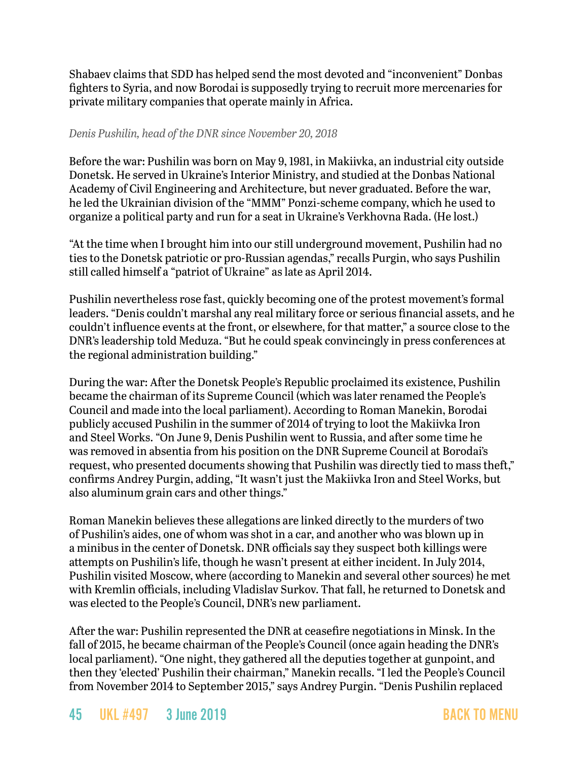Shabaev claims that SDD has helped send the most devoted and "inconvenient" Donbas fighters to Syria, and now Borodai is supposedly trying to recruit more mercenaries for private military companies that operate mainly in Africa.

#### *Denis Pushilin, head of the DNR since November 20, 2018*

Before the war: Pushilin was born on May 9, 1981, in Makiivka, an industrial city outside Donetsk. He served in Ukraine's Interior Ministry, and studied at the Donbas National Academy of Civil Engineering and Architecture, but never graduated. Before the war, he led the Ukrainian division of the "MMM" Ponzi-scheme company, which he used to organize a political party and run for a seat in Ukraine's Verkhovna Rada. (He lost.)

"At the time when I brought him into our still underground movement, Pushilin had no ties to the Donetsk patriotic or pro-Russian agendas," recalls Purgin, who says Pushilin still called himself a "patriot of Ukraine" as late as April 2014.

Pushilin nevertheless rose fast, quickly becoming one of the protest movement's formal leaders. "Denis couldn't marshal any real military force or serious financial assets, and he couldn't influence events at the front, or elsewhere, for that matter," a source close to the DNR's leadership told Meduza. "But he could speak convincingly in press conferences at the regional administration building."

During the war: After the Donetsk People's Republic proclaimed its existence, Pushilin became the chairman of its Supreme Council (which was later renamed the People's Council and made into the local parliament). According to Roman Manekin, Borodai publicly accused Pushilin in the summer of 2014 of trying to loot the Makiivka Iron and Steel Works. "On June 9, Denis Pushilin went to Russia, and after some time he was removed in absentia from his position on the DNR Supreme Council at Borodai's request, who presented documents showing that Pushilin was directly tied to mass theft," confirms Andrey Purgin, adding, "It wasn't just the Makiivka Iron and Steel Works, but also aluminum grain cars and other things."

Roman Manekin believes these allegations are linked directly to the murders of two of Pushilin's aides, one of whom was shot in a car, and another who was blown up in a minibus in the center of Donetsk. DNR officials say they suspect both killings were attempts on Pushilin's life, though he wasn't present at either incident. In July 2014, Pushilin visited Moscow, where (according to Manekin and several other sources) he met with Kremlin officials, including Vladislav Surkov. That fall, he returned to Donetsk and was elected to the People's Council, DNR's new parliament.

After the war: Pushilin represented the DNR at ceasefire negotiations in Minsk. In the fall of 2015, he became chairman of the People's Council (once again heading the DNR's local parliament). "One night, they gathered all the deputies together at gunpoint, and then they 'elected' Pushilin their chairman," Manekin recalls. "I led the People's Council from November 2014 to September 2015," says Andrey Purgin. "Denis Pushilin replaced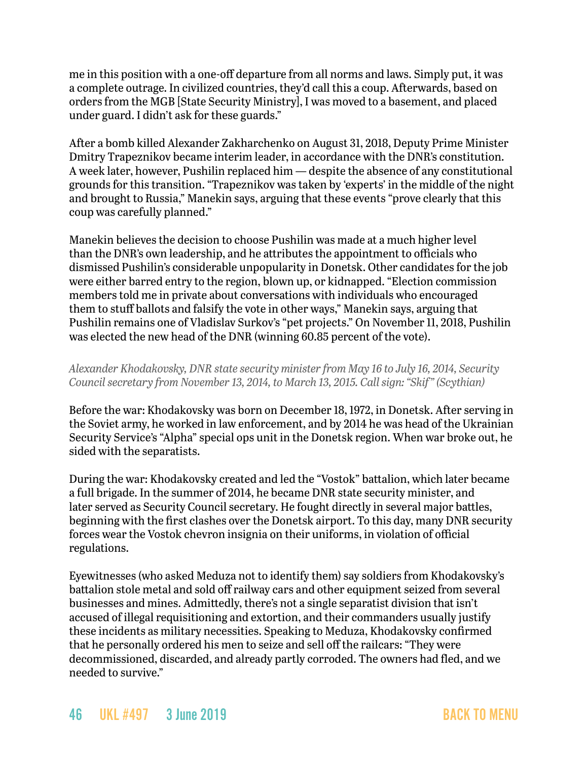me in this position with a one-off departure from all norms and laws. Simply put, it was a complete outrage. In civilized countries, they'd call this a coup. Afterwards, based on orders from the MGB [State Security Ministry], I was moved to a basement, and placed under guard. I didn't ask for these guards."

After a bomb killed Alexander Zakharchenko on August 31, 2018, Deputy Prime Minister Dmitry Trapeznikov became interim leader, in accordance with the DNR's constitution. A week later, however, Pushilin replaced him — despite the absence of any constitutional grounds for this transition. "Trapeznikov was taken by 'experts' in the middle of the night and brought to Russia," Manekin says, arguing that these events "prove clearly that this coup was carefully planned."

Manekin believes the decision to choose Pushilin was made at a much higher level than the DNR's own leadership, and he attributes the appointment to officials who dismissed Pushilin's considerable unpopularity in Donetsk. Other candidates for the job were either barred entry to the region, blown up, or kidnapped. "Election commission members told me in private about conversations with individuals who encouraged them to stuff ballots and falsify the vote in other ways," Manekin says, arguing that Pushilin remains one of Vladislav Surkov's "pet projects." On November 11, 2018, Pushilin was elected the new head of the DNR (winning 60.85 percent of the vote).

#### *Alexander Khodakovsky, DNR state security minister from May 16 to July 16, 2014, Security Council secretary from November 13, 2014, to March 13, 2015. Call sign: "Skif " (Scythian)*

Before the war: Khodakovsky was born on December 18, 1972, in Donetsk. After serving in the Soviet army, he worked in law enforcement, and by 2014 he was head of the Ukrainian Security Service's "Alpha" special ops unit in the Donetsk region. When war broke out, he sided with the separatists.

During the war: Khodakovsky created and led the "Vostok" battalion, which later became a full brigade. In the summer of 2014, he became DNR state security minister, and later served as Security Council secretary. He fought directly in several major battles, beginning with the first clashes over the Donetsk airport. To this day, many DNR security forces wear the Vostok chevron insignia on their uniforms, in violation of official regulations.

Eyewitnesses (who asked Meduza not to identify them) say soldiers from Khodakovsky's battalion stole metal and sold off railway cars and other equipment seized from several businesses and mines. Admittedly, there's not a single separatist division that isn't accused of illegal requisitioning and extortion, and their commanders usually justify these incidents as military necessities. Speaking to Meduza, Khodakovsky confirmed that he personally ordered his men to seize and sell off the railcars: "They were decommissioned, discarded, and already partly corroded. The owners had fled, and we needed to survive."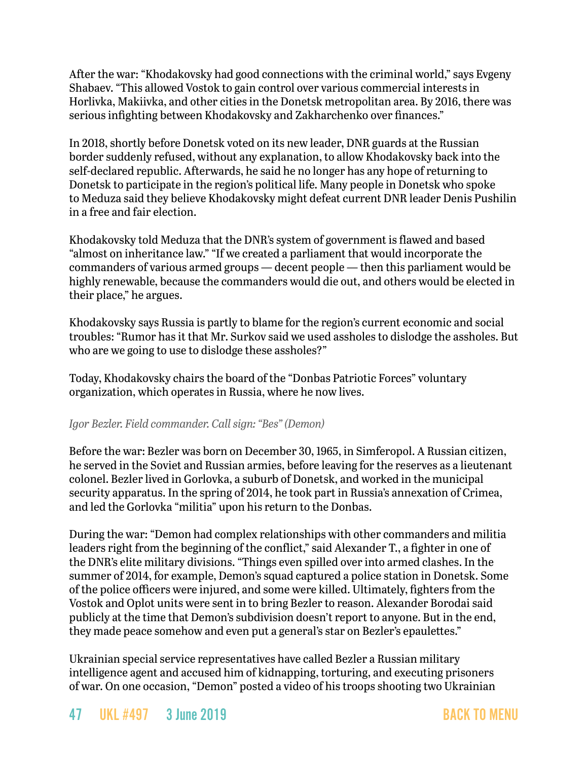After the war: "Khodakovsky had good connections with the criminal world," says Evgeny Shabaev. "This allowed Vostok to gain control over various commercial interests in Horlivka, Makiivka, and other cities in the Donetsk metropolitan area. By 2016, there was serious infighting between Khodakovsky and Zakharchenko over finances."

In 2018, shortly before Donetsk voted on its new leader, DNR guards at the Russian border suddenly refused, without any explanation, to allow Khodakovsky back into the self-declared republic. Afterwards, he said he no longer has any hope of returning to Donetsk to participate in the region's political life. Many people in Donetsk who spoke to Meduza said they believe Khodakovsky might defeat current DNR leader Denis Pushilin in a free and fair election.

Khodakovsky told Meduza that the DNR's system of government is flawed and based "almost on inheritance law." "If we created a parliament that would incorporate the commanders of various armed groups — decent people — then this parliament would be highly renewable, because the commanders would die out, and others would be elected in their place," he argues.

Khodakovsky says Russia is partly to blame for the region's current economic and social troubles: "Rumor has it that Mr. Surkov said we used assholes to dislodge the assholes. But who are we going to use to dislodge these assholes?"

Today, Khodakovsky chairs the board of the "Donbas Patriotic Forces" voluntary organization, which operates in Russia, where he now lives.

#### *Igor Bezler. Field commander. Call sign: "Bes" (Demon)*

Before the war: Bezler was born on December 30, 1965, in Simferopol. A Russian citizen, he served in the Soviet and Russian armies, before leaving for the reserves as a lieutenant colonel. Bezler lived in Gorlovka, a suburb of Donetsk, and worked in the municipal security apparatus. In the spring of 2014, he took part in Russia's annexation of Crimea, and led the Gorlovka "militia" upon his return to the Donbas.

During the war: "Demon had complex relationships with other commanders and militia leaders right from the beginning of the conflict," said Alexander T., a fighter in one of the DNR's elite military divisions. "Things even spilled over into armed clashes. In the summer of 2014, for example, Demon's squad captured a police station in Donetsk. Some of the police officers were injured, and some were killed. Ultimately, fighters from the Vostok and Oplot units were sent in to bring Bezler to reason. Alexander Borodai said publicly at the time that Demon's subdivision doesn't report to anyone. But in the end, they made peace somehow and even put a general's star on Bezler's epaulettes."

Ukrainian special service representatives have called Bezler a Russian military intelligence agent and accused him of kidnapping, torturing, and executing prisoners of war. On one occasion, "Demon" posted a video of his troops shooting two Ukrainian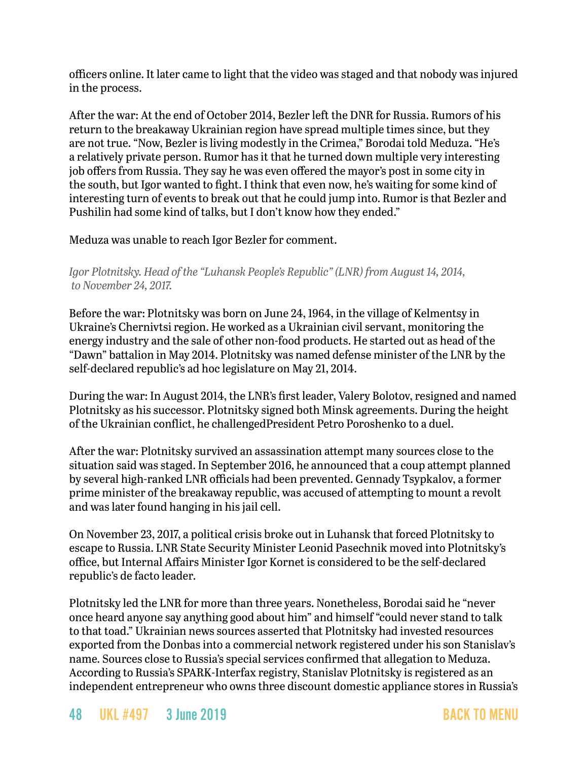officers online. It later came to light that the video was staged and that nobody was injured in the process.

After the war: At the end of October 2014, Bezler left the DNR for Russia. Rumors of his return to the breakaway Ukrainian region have spread multiple times since, but they are not true. "Now, Bezler is living modestly in the Crimea," Borodai told Meduza. "He's a relatively private person. Rumor has it that he turned down multiple very interesting job offers from Russia. They say he was even offered the mayor's post in some city in the south, but Igor wanted to fight. I think that even now, he's waiting for some kind of interesting turn of events to break out that he could jump into. Rumor is that Bezler and Pushilin had some kind of talks, but I don't know how they ended."

Meduza was unable to reach Igor Bezler for comment.

*Igor Plotnitsky. Head of the "Luhansk People's Republic" (LNR) from August 14, 2014, to November 24, 2017.*

Before the war: Plotnitsky was born on June 24, 1964, in the village of Kelmentsy in Ukraine's Chernivtsi region. He worked as a Ukrainian civil servant, monitoring the energy industry and the sale of other non-food products. He started out as head of the "Dawn" battalion in May 2014. Plotnitsky was named defense minister of the LNR by the self-declared republic's ad hoc legislature on May 21, 2014.

During the war: In August 2014, the LNR's first leader, Valery Bolotov, resigned and named Plotnitsky as his successor. Plotnitsky signed both Minsk agreements. During the height of the Ukrainian conflict, he challengedPresident Petro Poroshenko to a duel.

After the war: Plotnitsky survived an assassination attempt many sources close to the situation said was staged. In September 2016, he announced that a coup attempt planned by several high-ranked LNR officials had been prevented. Gennady Tsypkalov, a former prime minister of the breakaway republic, was accused of attempting to mount a revolt and was later found hanging in his jail cell.

On November 23, 2017, a political crisis broke out in Luhansk that forced Plotnitsky to escape to Russia. LNR State Security Minister Leonid Pasechnik moved into Plotnitsky's office, but Internal Affairs Minister Igor Kornet is considered to be the self-declared republic's de facto leader.

Plotnitsky led the LNR for more than three years. Nonetheless, Borodai said he "never once heard anyone say anything good about him" and himself "could never stand to talk to that toad." Ukrainian news sources asserted that Plotnitsky had invested resources exported from the Donbas into a commercial network registered under his son Stanislav's name. Sources close to Russia's special services confirmed that allegation to Meduza. According to Russia's SPARK-Interfax registry, Stanislav Plotnitsky is registered as an independent entrepreneur who owns three discount domestic appliance stores in Russia's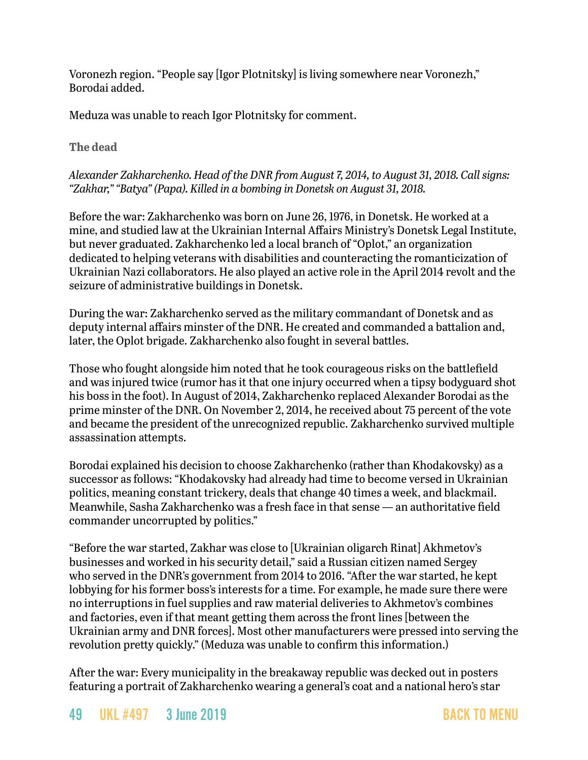Voronezh region. "People say [Igor Plotnitsky] is living somewhere near Voronezh," Borodai added.

Meduza was unable to reach Igor Plotnitsky for comment.

**The dead**

*Alexander Zakharchenko. Head of the DNR from August 7, 2014, to August 31, 2018. Call signs: "Zakhar," "Batya" (Papa). Killed in a bombing in Donetsk on August 31, 2018.*

Before the war: Zakharchenko was born on June 26, 1976, in Donetsk. He worked at a mine, and studied law at the Ukrainian Internal Affairs Ministry's Donetsk Legal Institute, but never graduated. Zakharchenko led a local branch of "Oplot," an organization dedicated to helping veterans with disabilities and counteracting the romanticization of Ukrainian Nazi collaborators. He also played an active role in the April 2014 revolt and the seizure of administrative buildings in Donetsk.

During the war: Zakharchenko served as the military commandant of Donetsk and as deputy internal affairs minster of the DNR. He created and commanded a battalion and, later, the Oplot brigade. Zakharchenko also fought in several battles.

Those who fought alongside him noted that he took courageous risks on the battlefield and was injured twice (rumor has it that one injury occurred when a tipsy bodyguard shot his boss in the foot). In August of 2014, Zakharchenko replaced Alexander Borodai as the prime minster of the DNR. On November 2, 2014, he received about 75 percent of the vote and became the president of the unrecognized republic. Zakharchenko survived multiple assassination attempts.

Borodai explained his decision to choose Zakharchenko (rather than Khodakovsky) as a successor as follows: "Khodakovsky had already had time to become versed in Ukrainian politics, meaning constant trickery, deals that change 40 times a week, and blackmail. Meanwhile, Sasha Zakharchenko was a fresh face in that sense — an authoritative field commander uncorrupted by politics."

"Before the war started, Zakhar was close to [Ukrainian oligarch Rinat] Akhmetov's businesses and worked in his security detail," said a Russian citizen named Sergey who served in the DNR's government from 2014 to 2016. "After the war started, he kept lobbying for his former boss's interests for a time. For example, he made sure there were no interruptions in fuel supplies and raw material deliveries to Akhmetov's combines and factories, even if that meant getting them across the front lines [between the Ukrainian army and DNR forces]. Most other manufacturers were pressed into serving the revolution pretty quickly." (Meduza was unable to confirm this information.)

After the war: Every municipality in the breakaway republic was decked out in posters featuring a portrait of Zakharchenko wearing a general's coat and a national hero's star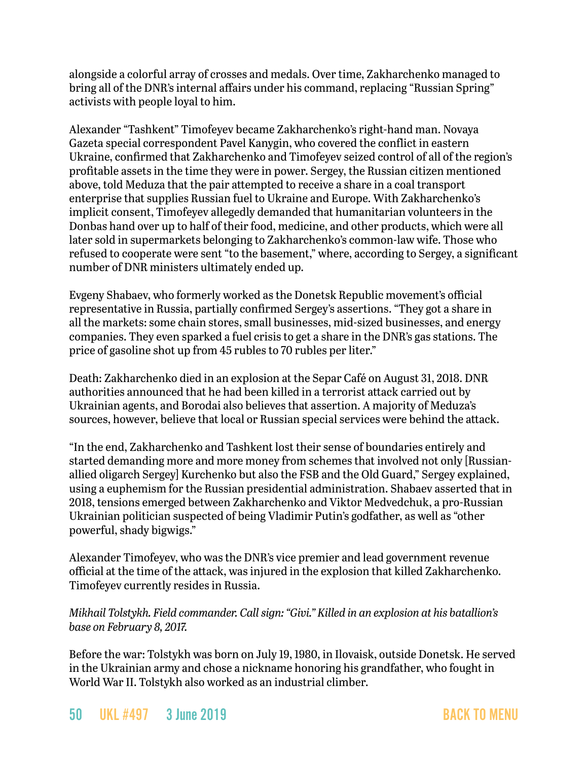alongside a colorful array of crosses and medals. Over time, Zakharchenko managed to bring all of the DNR's internal affairs under his command, replacing "Russian Spring" activists with people loyal to him.

Alexander "Tashkent" Timofeyev became Zakharchenko's right-hand man. Novaya Gazeta special correspondent Pavel Kanygin, who covered the conflict in eastern Ukraine, confirmed that Zakharchenko and Timofeyev seized control of all of the region's profitable assets in the time they were in power. Sergey, the Russian citizen mentioned above, told Meduza that the pair attempted to receive a share in a coal transport enterprise that supplies Russian fuel to Ukraine and Europe. With Zakharchenko's implicit consent, Timofeyev allegedly demanded that humanitarian volunteers in the Donbas hand over up to half of their food, medicine, and other products, which were all later sold in supermarkets belonging to Zakharchenko's common-law wife. Those who refused to cooperate were sent "to the basement," where, according to Sergey, a significant number of DNR ministers ultimately ended up.

Evgeny Shabaev, who formerly worked as the Donetsk Republic movement's official representative in Russia, partially confirmed Sergey's assertions. "They got a share in all the markets: some chain stores, small businesses, mid-sized businesses, and energy companies. They even sparked a fuel crisis to get a share in the DNR's gas stations. The price of gasoline shot up from 45 rubles to 70 rubles per liter."

Death: Zakharchenko died in an explosion at the Separ Café on August 31, 2018. DNR authorities announced that he had been killed in a terrorist attack carried out by Ukrainian agents, and Borodai also believes that assertion. A majority of Meduza's sources, however, believe that local or Russian special services were behind the attack.

"In the end, Zakharchenko and Tashkent lost their sense of boundaries entirely and started demanding more and more money from schemes that involved not only [Russianallied oligarch Sergey] Kurchenko but also the FSB and the Old Guard," Sergey explained, using a euphemism for the Russian presidential administration. Shabaev asserted that in 2018, tensions emerged between Zakharchenko and Viktor Medvedchuk, a pro-Russian Ukrainian politician suspected of being Vladimir Putin's godfather, as well as "other powerful, shady bigwigs."

Alexander Timofeyev, who was the DNR's vice premier and lead government revenue official at the time of the attack, was injured in the explosion that killed Zakharchenko. Timofeyev currently resides in Russia.

*Mikhail Tolstykh. Field commander. Call sign: "Givi." Killed in an explosion at his batallion's base on February 8, 2017.*

Before the war: Tolstykh was born on July 19, 1980, in Ilovaisk, outside Donetsk. He served in the Ukrainian army and chose a nickname honoring his grandfather, who fought in World War II. Tolstykh also worked as an industrial climber.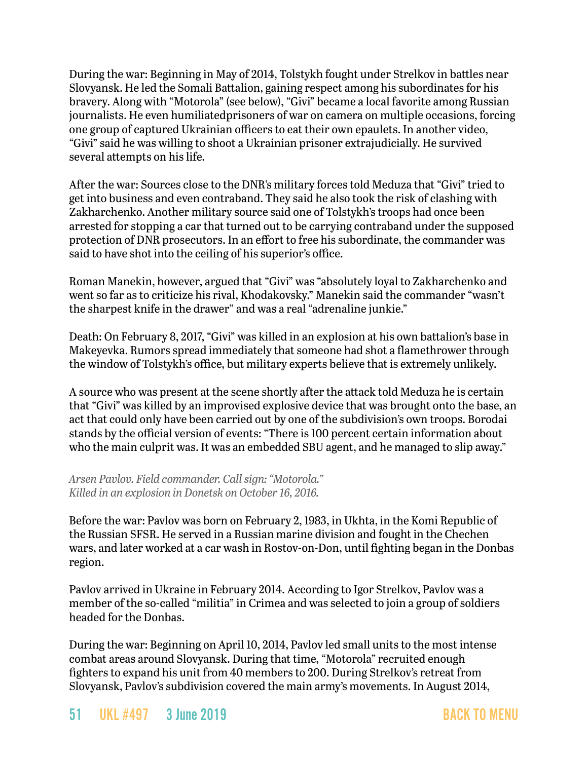During the war: Beginning in May of 2014, Tolstykh fought under Strelkov in battles near Slovyansk. He led the Somali Battalion, gaining respect among his subordinates for his bravery. Along with "Motorola" (see below), "Givi" became a local favorite among Russian journalists. He even humiliatedprisoners of war on camera on multiple occasions, forcing one group of captured Ukrainian officers to eat their own epaulets. In another video, "Givi" said he was willing to shoot a Ukrainian prisoner extrajudicially. He survived several attempts on his life.

After the war: Sources close to the DNR's military forces told Meduza that "Givi" tried to get into business and even contraband. They said he also took the risk of clashing with Zakharchenko. Another military source said one of Tolstykh's troops had once been arrested for stopping a car that turned out to be carrying contraband under the supposed protection of DNR prosecutors. In an effort to free his subordinate, the commander was said to have shot into the ceiling of his superior's office.

Roman Manekin, however, argued that "Givi" was "absolutely loyal to Zakharchenko and went so far as to criticize his rival, Khodakovsky." Manekin said the commander "wasn't the sharpest knife in the drawer" and was a real "adrenaline junkie."

Death: On February 8, 2017, "Givi" was killed in an explosion at his own battalion's base in Makeyevka. Rumors spread immediately that someone had shot a flamethrower through the window of Tolstykh's office, but military experts believe that is extremely unlikely.

A source who was present at the scene shortly after the attack told Meduza he is certain that "Givi" was killed by an improvised explosive device that was brought onto the base, an act that could only have been carried out by one of the subdivision's own troops. Borodai stands by the official version of events: "There is 100 percent certain information about who the main culprit was. It was an embedded SBU agent, and he managed to slip away."

*Arsen Pavlov. Field commander. Call sign: "Motorola." Killed in an explosion in Donetsk on October 16, 2016.*

Before the war: Pavlov was born on February 2, 1983, in Ukhta, in the Komi Republic of the Russian SFSR. He served in a Russian marine division and fought in the Chechen wars, and later worked at a car wash in Rostov-on-Don, until fighting began in the Donbas region.

Pavlov arrived in Ukraine in February 2014. According to Igor Strelkov, Pavlov was a member of the so-called "militia" in Crimea and was selected to join a group of soldiers headed for the Donbas.

During the war: Beginning on April 10, 2014, Pavlov led small units to the most intense combat areas around Slovyansk. During that time, "Motorola" recruited enough fighters to expand his unit from 40 members to 200. During Strelkov's retreat from Slovyansk, Pavlov's subdivision covered the main army's movements. In August 2014,

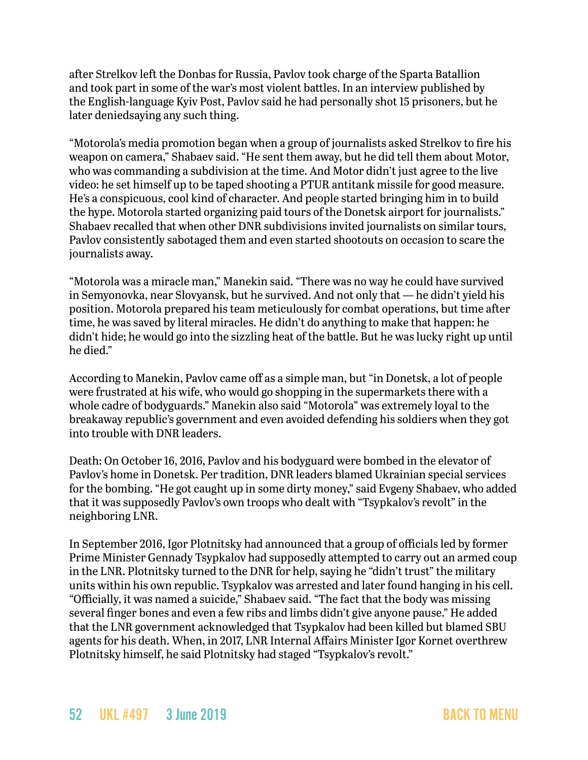after Strelkov left the Donbas for Russia, Pavlov took charge of the Sparta Batallion and took part in some of the war's most violent battles. In an interview published by the English-language Kyiv Post, Pavlov said he had personally shot 15 prisoners, but he later deniedsaying any such thing.

"Motorola's media promotion began when a group of journalists asked Strelkov to fire his weapon on camera," Shabaev said. "He sent them away, but he did tell them about Motor, who was commanding a subdivision at the time. And Motor didn't just agree to the live video: he set himself up to be taped shooting a PTUR antitank missile for good measure. He's a conspicuous, cool kind of character. And people started bringing him in to build the hype. Motorola started organizing paid tours of the Donetsk airport for journalists." Shabaev recalled that when other DNR subdivisions invited journalists on similar tours, Pavlov consistently sabotaged them and even started shootouts on occasion to scare the journalists away.

"Motorola was a miracle man," Manekin said. "There was no way he could have survived in Semyonovka, near Slovyansk, but he survived. And not only that — he didn't yield his position. Motorola prepared his team meticulously for combat operations, but time after time, he was saved by literal miracles. He didn't do anything to make that happen: he didn't hide; he would go into the sizzling heat of the battle. But he was lucky right up until he died."

According to Manekin, Pavlov came off as a simple man, but "in Donetsk, a lot of people were frustrated at his wife, who would go shopping in the supermarkets there with a whole cadre of bodyguards." Manekin also said "Motorola" was extremely loyal to the breakaway republic's government and even avoided defending his soldiers when they got into trouble with DNR leaders.

Death: On October 16, 2016, Pavlov and his bodyguard were bombed in the elevator of Pavlov's home in Donetsk. Per tradition, DNR leaders blamed Ukrainian special services for the bombing. "He got caught up in some dirty money," said Evgeny Shabaev, who added that it was supposedly Pavlov's own troops who dealt with "Tsypkalov's revolt" in the neighboring LNR.

In September 2016, Igor Plotnitsky had announced that a group of officials led by former Prime Minister Gennady Tsypkalov had supposedly attempted to carry out an armed coup in the LNR. Plotnitsky turned to the DNR for help, saying he "didn't trust" the military units within his own republic. Tsypkalov was arrested and later found hanging in his cell. "Officially, it was named a suicide," Shabaev said. "The fact that the body was missing several finger bones and even a few ribs and limbs didn't give anyone pause." He added that the LNR government acknowledged that Tsypkalov had been killed but blamed SBU agents for his death. When, in 2017, LNR Internal Affairs Minister Igor Kornet overthrew Plotnitsky himself, he said Plotnitsky had staged "Tsypkalov's revolt."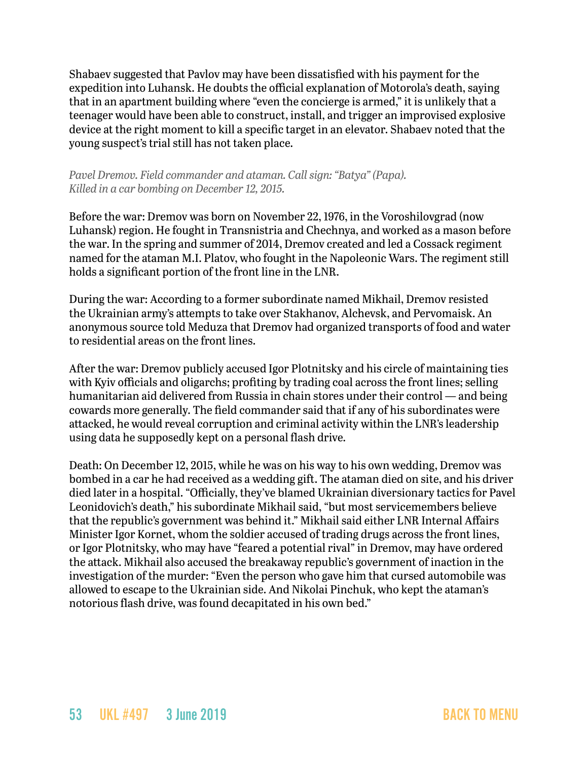Shabaev suggested that Pavlov may have been dissatisfied with his payment for the expedition into Luhansk. He doubts the official explanation of Motorola's death, saying that in an apartment building where "even the concierge is armed," it is unlikely that a teenager would have been able to construct, install, and trigger an improvised explosive device at the right moment to kill a specific target in an elevator. Shabaev noted that the young suspect's trial still has not taken place.

*Pavel Dremov. Field commander and ataman. Call sign: "Batya" (Papa). Killed in a car bombing on December 12, 2015.*

Before the war: Dremov was born on November 22, 1976, in the Voroshilovgrad (now Luhansk) region. He fought in Transnistria and Chechnya, and worked as a mason before the war. In the spring and summer of 2014, Dremov created and led a Cossack regiment named for the ataman M.I. Platov, who fought in the Napoleonic Wars. The regiment still holds a significant portion of the front line in the LNR.

During the war: According to a former subordinate named Mikhail, Dremov resisted the Ukrainian army's attempts to take over Stakhanov, Alchevsk, and Pervomaisk. An anonymous source told Meduza that Dremov had organized transports of food and water to residential areas on the front lines.

After the war: Dremov publicly accused Igor Plotnitsky and his circle of maintaining ties with Kyiv officials and oligarchs; profiting by trading coal across the front lines; selling humanitarian aid delivered from Russia in chain stores under their control — and being cowards more generally. The field commander said that if any of his subordinates were attacked, he would reveal corruption and criminal activity within the LNR's leadership using data he supposedly kept on a personal flash drive.

Death: On December 12, 2015, while he was on his way to his own wedding, Dremov was bombed in a car he had received as a wedding gift. The ataman died on site, and his driver died later in a hospital. "Officially, they've blamed Ukrainian diversionary tactics for Pavel Leonidovich's death," his subordinate Mikhail said, "but most servicemembers believe that the republic's government was behind it." Mikhail said either LNR Internal Affairs Minister Igor Kornet, whom the soldier accused of trading drugs across the front lines, or Igor Plotnitsky, who may have "feared a potential rival" in Dremov, may have ordered the attack. Mikhail also accused the breakaway republic's government of inaction in the investigation of the murder: "Even the person who gave him that cursed automobile was allowed to escape to the Ukrainian side. And Nikolai Pinchuk, who kept the ataman's notorious flash drive, was found decapitated in his own bed."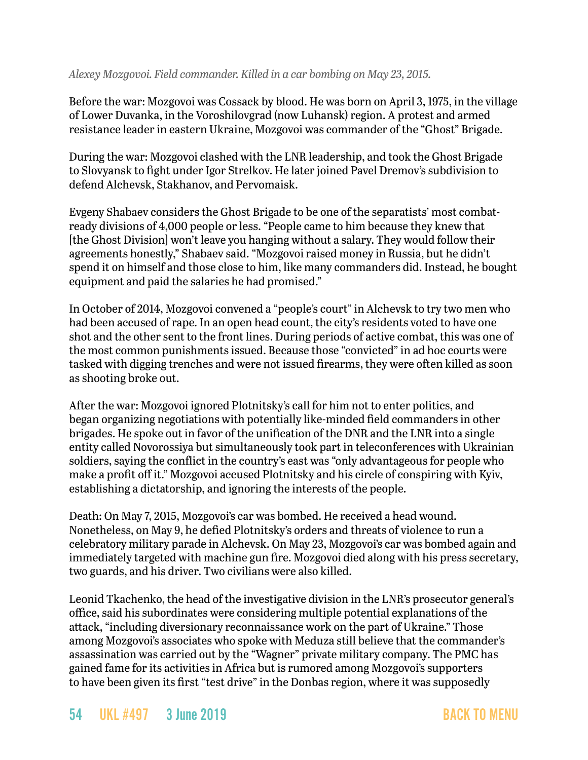#### *Alexey Mozgovoi. Field commander. Killed in a car bombing on May 23, 2015.*

Before the war: Mozgovoi was Cossack by blood. He was born on April 3, 1975, in the village of Lower Duvanka, in the Voroshilovgrad (now Luhansk) region. A protest and armed resistance leader in eastern Ukraine, Mozgovoi was commander of the "Ghost" Brigade.

During the war: Mozgovoi clashed with the LNR leadership, and took the Ghost Brigade to Slovyansk to fight under Igor Strelkov. He later joined Pavel Dremov's subdivision to defend Alchevsk, Stakhanov, and Pervomaisk.

Evgeny Shabaev considers the Ghost Brigade to be one of the separatists' most combatready divisions of 4,000 people or less. "People came to him because they knew that [the Ghost Division] won't leave you hanging without a salary. They would follow their agreements honestly," Shabaev said. "Mozgovoi raised money in Russia, but he didn't spend it on himself and those close to him, like many commanders did. Instead, he bought equipment and paid the salaries he had promised."

In October of 2014, Mozgovoi convened a "people's court" in Alchevsk to try two men who had been accused of rape. In an open head count, the city's residents voted to have one shot and the other sent to the front lines. During periods of active combat, this was one of the most common punishments issued. Because those "convicted" in ad hoc courts were tasked with digging trenches and were not issued firearms, they were often killed as soon as shooting broke out.

After the war: Mozgovoi ignored Plotnitsky's call for him not to enter politics, and began organizing negotiations with potentially like-minded field commanders in other brigades. He spoke out in favor of the unification of the DNR and the LNR into a single entity called Novorossiya but simultaneously took part in teleconferences with Ukrainian soldiers, saying the conflict in the country's east was "only advantageous for people who make a profit off it." Mozgovoi accused Plotnitsky and his circle of conspiring with Kyiv, establishing a dictatorship, and ignoring the interests of the people.

Death: On May 7, 2015, Mozgovoi's car was bombed. He received a head wound. Nonetheless, on May 9, he defied Plotnitsky's orders and threats of violence to run a celebratory military parade in Alchevsk. On May 23, Mozgovoi's car was bombed again and immediately targeted with machine gun fire. Mozgovoi died along with his press secretary, two guards, and his driver. Two civilians were also killed.

Leonid Tkachenko, the head of the investigative division in the LNR's prosecutor general's office, said his subordinates were considering multiple potential explanations of the attack, "including diversionary reconnaissance work on the part of Ukraine." Those among Mozgovoi's associates who spoke with Meduza still believe that the commander's assassination was carried out by the "Wagner" private military company. The PMC has gained fame for its activities in Africa but is rumored among Mozgovoi's supporters to have been given its first "test drive" in the Donbas region, where it was supposedly